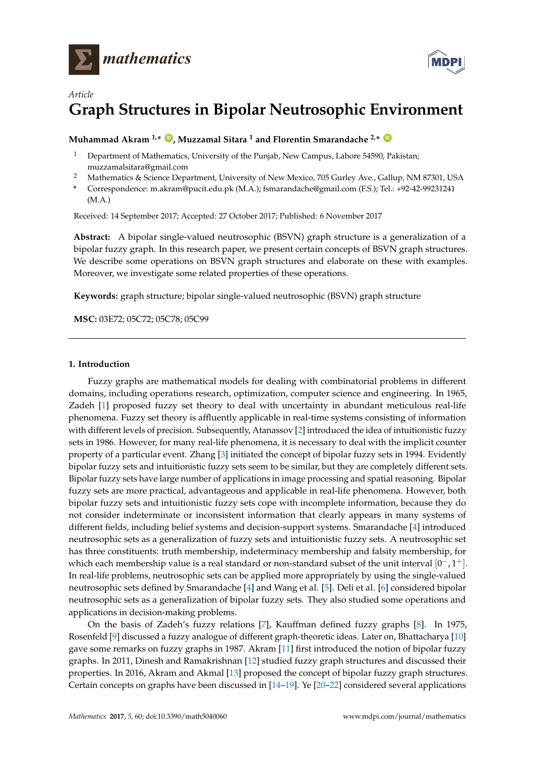



# *Article* **Graph Structures in Bipolar Neutrosophic Environment**

## **Muhammad Akram 1,\* [ID](https://orcid.org/0000-0001-7217-7962) , Muzzamal Sitara <sup>1</sup> and Florentin Smarandache 2,\* [ID](https://orcid.org/0000-0002-5560-5926)**

- <sup>1</sup> Department of Mathematics, University of the Punjab, New Campus, Lahore 54590, Pakistan; muzzamalsitara@gmail.com
- <sup>2</sup> Mathematics & Science Department, University of New Mexico, 705 Gurley Ave., Gallup, NM 87301, USA
- **\*** Correspondence: m.akram@pucit.edu.pk (M.A.); fsmarandache@gmail.com (F.S.); Tel.: +92-42-99231241 (M.A.)

Received: 14 September 2017; Accepted: 27 October 2017; Published: 6 November 2017

**Abstract:** A bipolar single-valued neutrosophic (BSVN) graph structure is a generalization of a bipolar fuzzy graph. In this research paper, we present certain concepts of BSVN graph structures. We describe some operations on BSVN graph structures and elaborate on these with examples. Moreover, we investigate some related properties of these operations.

**Keywords:** graph structure; bipolar single-valued neutrosophic (BSVN) graph structure

**MSC:** 03E72; 05C72; 05C78; 05C99

### **1. Introduction**

Fuzzy graphs are mathematical models for dealing with combinatorial problems in different domains, including operations research, optimization, computer science and engineering. In 1965, Zadeh [\[1\]](#page-18-0) proposed fuzzy set theory to deal with uncertainty in abundant meticulous real-life phenomena. Fuzzy set theory is affluently applicable in real-time systems consisting of information with different levels of precision. Subsequently, Atanassov [\[2\]](#page-18-1) introduced the idea of intuitionistic fuzzy sets in 1986. However, for many real-life phenomena, it is necessary to deal with the implicit counter property of a particular event. Zhang [\[3\]](#page-19-0) initiated the concept of bipolar fuzzy sets in 1994. Evidently bipolar fuzzy sets and intuitionistic fuzzy sets seem to be similar, but they are completely different sets. Bipolar fuzzy sets have large number of applications in image processing and spatial reasoning. Bipolar fuzzy sets are more practical, advantageous and applicable in real-life phenomena. However, both bipolar fuzzy sets and intuitionistic fuzzy sets cope with incomplete information, because they do not consider indeterminate or inconsistent information that clearly appears in many systems of different fields, including belief systems and decision-support systems. Smarandache [\[4\]](#page-19-1) introduced neutrosophic sets as a generalization of fuzzy sets and intuitionistic fuzzy sets. A neutrosophic set has three constituents: truth membership, indeterminacy membership and falsity membership, for which each membership value is a real standard or non-standard subset of the unit interval  $[0^-,1^+]$ . In real-life problems, neutrosophic sets can be applied more appropriately by using the single-valued neutrosophic sets defined by Smarandache [\[4\]](#page-19-1) and Wang et al. [\[5\]](#page-19-2). Deli et al. [\[6\]](#page-19-3) considered bipolar neutrosophic sets as a generalization of bipolar fuzzy sets. They also studied some operations and applications in decision-making problems.

On the basis of Zadeh's fuzzy relations [\[7\]](#page-19-4), Kauffman defined fuzzy graphs [\[8\]](#page-19-5). In 1975, Rosenfeld [\[9\]](#page-19-6) discussed a fuzzy analogue of different graph-theoretic ideas. Later on, Bhattacharya [\[10\]](#page-19-7) gave some remarks on fuzzy graphs in 1987. Akram [\[11\]](#page-19-8) first introduced the notion of bipolar fuzzy graphs. In 2011, Dinesh and Ramakrishnan [\[12\]](#page-19-9) studied fuzzy graph structures and discussed their properties. In 2016, Akram and Akmal [\[13\]](#page-19-10) proposed the concept of bipolar fuzzy graph structures. Certain concepts on graphs have been discussed in [\[14](#page-19-11)[–19\]](#page-19-12). Ye [\[20](#page-19-13)[–22\]](#page-19-14) considered several applications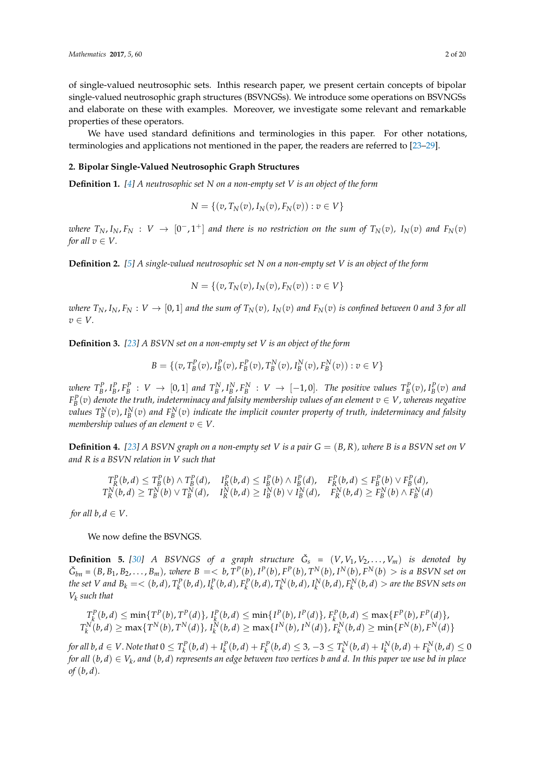of single-valued neutrosophic sets. Inthis research paper, we present certain concepts of bipolar single-valued neutrosophic graph structures (BSVNGSs). We introduce some operations on BSVNGSs and elaborate on these with examples. Moreover, we investigate some relevant and remarkable properties of these operators.

We have used standard definitions and terminologies in this paper. For other notations, terminologies and applications not mentioned in the paper, the readers are referred to [\[23](#page-19-15)[–29\]](#page-19-16).

#### **2. Bipolar Single-Valued Neutrosophic Graph Structures**

**Definition 1.** *[\[4\]](#page-19-1) A neutrosophic set N on a non-empty set V is an object of the form*

$$
N = \{ (v, T_N(v), I_N(v), F_N(v)) : v \in V \}
$$

where  $T_N$ ,  $I_N$ ,  $F_N$  :  $V$   $\rightarrow$   $[0^-,1^+]$  and there is no restriction on the sum of  $T_N(v)$ ,  $I_N(v)$  and  $F_N(v)$ *for all*  $v \in V$ .

**Definition 2.** *[\[5\]](#page-19-2) A single-valued neutrosophic set N on a non-empty set V is an object of the form*

$$
N = \{ (v, T_N(v), I_N(v), F_N(v)) : v \in V \}
$$

where  $T_N$ ,  $I_N$ ,  $F_N: V \to [0,1]$  and the sum of  $T_N(v)$ ,  $I_N(v)$  and  $F_N(v)$  is confined between 0 and 3 for all *v* ∈ *V.*

**Definition 3.** *[\[23\]](#page-19-15) A BSVN set on a non-empty set V is an object of the form*

$$
B = \{ (v, T_B^P(v), I_B^P(v), F_B^P(v), T_B^N(v), I_B^N(v), F_B^N(v)) : v \in V \}
$$

where  $T_B^P$ ,  $I_B^P$ ,  $F_B^P$  :  $V \to [0,1]$  and  $T_B^N$ ,  $I_B^N$ ,  $F_B^N$  :  $V \to [-1,0]$ . The positive values  $T_B^P(v)$ ,  $I_B^P(v)$  and  $F^P_B(v)$  denote the truth, indeterminacy and falsity membership values of an element  $v \in V$ , whereas negative  $values \, \, T^N_B(v)$ ,  $I^N_B(v)$  and  $F^N_B(v)$  indicate the implicit counter property of truth, indeterminacy and falsity *membership values of an element*  $v \in V$ .

**Definition 4.** [\[23\]](#page-19-15) A BSVN graph on a non-empty set V is a pair  $G = (B, R)$ , where B is a BSVN set on V *and R is a BSVN relation in V such that*

$$
T_R^P(b,d) \leq T_B^P(b) \wedge T_B^P(d), \quad I_R^P(b,d) \leq I_B^P(b) \wedge I_B^P(d), \quad F_R^P(b,d) \leq F_B^P(b) \vee F_B^P(d),
$$
  
\n
$$
T_R^N(b,d) \geq T_B^N(b) \vee T_B^N(d), \quad I_R^N(b,d) \geq I_B^N(b) \vee I_B^N(d), \quad F_R^N(b,d) \geq F_B^N(b) \wedge F_B^N(d)
$$

*for all*  $b, d \in V$ .

We now define the BSVNGS.

**Definition 5.** [\[30\]](#page-19-17) A BSVNGS of a graph structure  $\check{G}_s = (V, V_1, V_2, \ldots, V_m)$  is denoted by  $\check{G}_{bn} = (B, B_1, B_2, \ldots, B_m)$ , where  $B = < b, T^P(b), I^P(b), F^P(b), T^N(b), I^N(b), F^N(b) >$  is a BSVN set on the set V and  $B_k = <(b,d)$ ,  $T_k^P(b,d)$ ,  $I_k^P(b,d)$ ,  $F_k^P(b,d)$ ,  $T_k^N(b,d)$ ,  $I_k^N(b,d)$ ,  $F_k^N(b,d)$   $>$  are the BSVN sets on *Vk such that*

$$
T_k^P(b,d) \le \min\{T^P(b), T^P(d)\}, I_k^P(b,d) \le \min\{I^P(b), I^P(d)\}, F_k^P(b,d) \le \max\{F^P(b), F^P(d)\},
$$
  

$$
T_k^N(b,d) \ge \max\{T^N(b), T^N(d)\}, I_k^N(b,d) \ge \max\{I^N(b), I^N(d)\}, F_k^N(b,d) \ge \min\{F^N(b), F^N(d)\}
$$

for all b,  $d \in V$ . Note that  $0 \le T_k^P(b,d) + I_k^P(b,d) + F_k^P(b,d) \le 3$ ,  $-3 \le T_k^N(b,d) + I_k^N(b,d) + F_k^N(b,d) \le 0$ *for all* (*b*, *d*) ∈ *V<sup>k</sup> , and* (*b*, *d*) *represents an edge between two vertices b and d. In this paper we use bd in place of* (*b*, *d*)*.*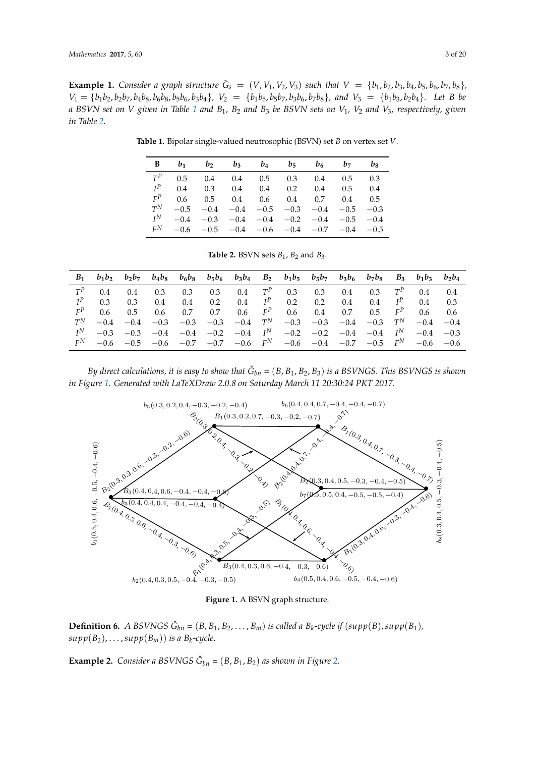<span id="page-2-0"></span>**Example 1.** Consider a graph structure  $\check{G}_s = (V, V_1, V_2, V_3)$  such that  $V = \{b_1, b_2, b_3, b_4, b_5, b_6, b_7, b_8\}$ ,  $V_1 = \{b_1b_2, b_2b_7, b_4b_8, b_6b_8, b_5b_6, b_3b_4\}, V_2 = \{b_1b_5, b_5b_7, b_3b_6, b_7b_8\}, and V_3 = \{b_1b_3, b_2b_4\}.$  Let B be *a BSVN set on V given in Table [1](#page-2-0) and B*1*, B*<sup>2</sup> *and B*<sup>3</sup> *be BSVN sets on V*1*, V*<sup>2</sup> *and V*3*, respectively, given in Table [2.](#page-2-1)*

| В     | $b_1$  | b <sub>2</sub> | $b_3$  | $b_4$  | $b_{5}$     | b <sub>6</sub> | b <sub>7</sub> | bg     |
|-------|--------|----------------|--------|--------|-------------|----------------|----------------|--------|
| $T^P$ | 0.5    | 0.4            | 0.4    | 0.5    | 0.3         | 0.4            | 0.5            | 0.3    |
| $I^P$ | 0.4    | 0.3            | 0.4    | 0.4    | 0.2         | 0.4            | 0.5            | 0.4    |
| $F^P$ | 0.6    | $0.5^{\circ}$  | 0.4    | 0.6    | 0.4         | 0.7            | 0.4            | 0.5    |
| $T^N$ | $-0.5$ | $-0.4$         | $-0.4$ | $-0.5$ | $-0.3$      | $-0.4$         | $-0.5$         | $-0.3$ |
| $I^N$ | $-0.4$ | $-0.3$         | $-0.4$ | $-0.4$ | $-0.2$      | $-0.4$         | $-0.5$         | $-0.4$ |
| $F^N$ | $-0.6$ | $-0.5$         | $-0.4$ |        | $-0.6 -0.4$ | $-0.7$         | $-0.4$         | $-0.5$ |

**Table 1.** Bipolar single-valued neutrosophic (BSVN) set *B* on vertex set *V*.

| <b>Table 2.</b> BSVN sets $B_1$ , $B_2$ and $B_3$ . |  |  |  |  |  |  |
|-----------------------------------------------------|--|--|--|--|--|--|
|-----------------------------------------------------|--|--|--|--|--|--|

<span id="page-2-1"></span>

| B <sub>1</sub> | $b_1b_2$      | $b_2b_7$ | $b_4b_8$ |        | $b_6b_8$ $b_5b_6$ | $b_3b_4$ | $B_2$ | $b_1b_5$ | $b_5b_7$ | $b_3b_6$ | $b_7b_8$ | $B_3$ | $b_1b_3$ $b_2b_4$ |        |
|----------------|---------------|----------|----------|--------|-------------------|----------|-------|----------|----------|----------|----------|-------|-------------------|--------|
| $T^P$          | 0.4           | 0.4      | 0.3      | 0.3    | 0.3               | 0.4      | $T^P$ | 0.3      | 0.3      | 0.4      | 0.3      | $T^P$ | 0.4               | 0.4    |
| $I^P$          | 0.3           | 0.3      | 0.4      | 0.4    | 0.2               | 0.4      | $I^P$ | 0.2      | 0.2      | 0.4      | 0.4      | $I^P$ | 0.4               | 0.3    |
| $F^P$          | $0.6^{\circ}$ | 0.5      | 0.6      | 0.7    | 0.7               | 0.6      | $F^P$ | 0.6      | 0.4      | 0.7      | 0.5      | $F^P$ | $0.6^{\circ}$     | 0.6    |
| $T^N$          | $-0.4$        | $-0.4$   | $-0.3$   | $-0.3$ | $-0.3$            | $-0.4$   | $T^N$ | $-0.3$   | $-0.3$   | $-0.4$   | $-0.3$   | $T^N$ | $-0.4$            | $-0.4$ |
| I <sub>N</sub> | $-0.3$        | $-0.3$   | $-0.4$   | $-0.4$ | $-0.2$            | $-0.4$   | $I^N$ | $-0.2$   | $-0.2$   | $-0.4$   | $-0.4$   | $I^N$ | $-0.4$            | $-0.3$ |
| $F^N$          | $-0.6$        | $-0.5$   | $-0.6$   | $-0.7$ | $-0.7$            | $-0.6$   | $F^N$ | $-0.6$   | $-0.4$   | $-0.7$   | $-0.5$   | $F^N$ | $-0.6$            | $-0.6$ |

*By direct calculations, it is easy to show that G*ˇ *bn =* (*B*, *B*1, *B*2, *B*3) *is a BSVNGS. This BSVNGS is shown in Figure [1.](#page-2-2) Generated with LaTeXDraw 2.0.8 on Saturday March 11 20:30:24 PKT 2017.*

<span id="page-2-2"></span>

 $\frac{1}{2}$ **Figure 1.** A BSVN graph structure.

 $supp(B_2), \ldots, supp(B_m))$  *is a B<sub>k</sub>-cycle.*  $\begin{bmatrix} h_1 \\ h_2 \end{bmatrix}$  is a  $B_k$ -cycle. **Definition 6.** A BSVNGS  $\check{G}_{bn} = (B, B_1, B_2, \ldots, B_m)$  is called a  $B_k$ -cycle if  $(supp(B), supp(B_1))$ ,

**Example [2](#page-3-0).** *Consider a BSVNGS*  $\check{G}_{bn} = (B, B_1, B_2)$  *as shown in Figure* 2*.*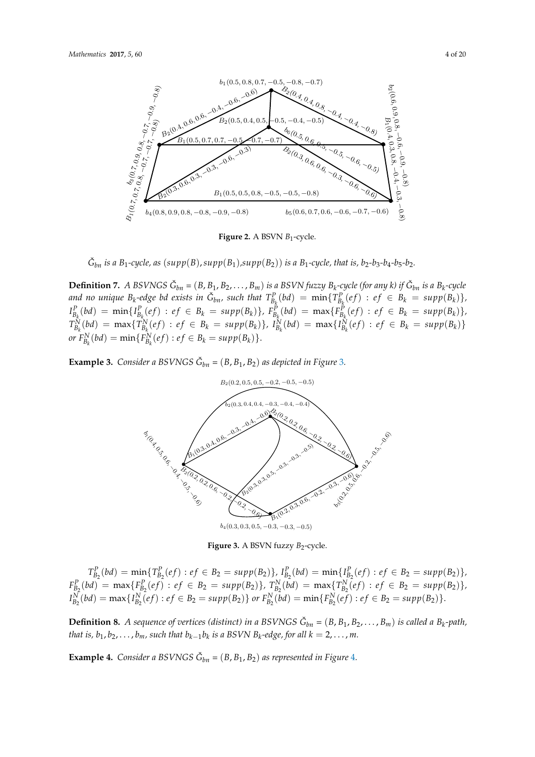<span id="page-3-0"></span>

**Figure 2.** A BSVN  $B_1$ -cycle.

 $\mathcal{F} = \mathcal{F} \cup \mathcal{F}$   $\mathcal{F} = \mathcal{F} \cup \mathcal{F}$  single-valued neutrosophic B1-cycle  $\check{G}_{bn}$  *is a B*<sub>1</sub>-cycle, *as* ( $supp(B)$ ,  $supp(B_1)$ , $supp(B_2)$ ) *is a B*<sub>1</sub>-cycle, *that is, b*<sub>2</sub>-b<sub>3</sub>-b<sub>4</sub>-b<sub>5</sub>-b<sub>2</sub>.

**Definition 7.** A BSVNGS  $\check{G}_{bn} = (B, B_1, B_2, \ldots, B_m)$  is a BSVN fuzzy  $B_k$ -cycle (for any k) if  $\check{G}_{bn}$  is a  $B_k$ -cycle  $I_{B_k}^P(bd) = \min\{I_{B_k}^P(ef) : ef \in B_k = supp(B_k)\}, F_{B_k}^P(bd) = \max\{F_{B_k}^P(ef) : ef \in B_k = supp(B_k)\},$  $T_{B_k}^N(bd) = \max\{T_{B_k}^N(ef) : ef \in B_k = supp(B_k)\}, I_{B_k}^N(bd) = \max\{I_{B_k}^N(ef) \}$  $(f)$  :  $ef \in B_k = supp(B_k)$  $\mathcal{L}_{B_k}(e^u) = \min\{\mathcal{L}_{B_k}(e^u): e^u \leq B_k = \sup_{k=0}^{\infty} \mathcal{L}_{B_k}(E_k)\}.$ and no unique  $B_k$ -edge bd exists in  $\check{G}_{bn}$ , such that  $T_{B_k}^P(bd) = \min\{T_{B_k}^P(ef) : ef \in B_k = supp(B_k)\}$ ,  $I_{B_k}^P(bd) = \min\{I_{B_k}^P(ef) : ef \in B_k = supp(B_k)\}, F_{B_k}^P(bd) = \max\{F_{B_k}^P(ef) : ef \in B_k = supp(B_k)\},$  $T_{B_k}^N(bd) = \max\{T_{B_k}^N(ef) : ef \in B_k = supp(B_k)\}, I_{B_k}^N(bd) = \max\{I_{B_k}^N(ef) : ef \in B_k = supp(B_k)\}$  $or F_{B_k}^N(bd) = \min\{F_{B_k}^N(ef) : ef \in B_k = supp(B_k)\}.$ 

> <span id="page-3-1"></span>Example 3. Consider a l **Example 3.** *C[o](#page-3-1)nsider a BSVNGS*  $\check{G}_{bn} = (B, B_1, B_2)$  *as depicted in Figure* 3*.*



Figure 3. A BSVN fuzzy  $B_2$ -cycle.

 $T_{B_2}^P(bd) = \min\{T_{B_2}^P(ef) : ef \in B_2 = supp(B_2)\}\$ ,  $I_{B_2}^P(bd) = \min\{I_{B_2}^P(ef) : ef \in B_2 = supp(B_2)\}\$ ,  $F_p^P$  (bd)  $\overline{P}_2^{\text{max}}(b_1^{\text{max}}) = \overline{P}_2^{\text{max}}(b_2^{\text{max}}) = \overline{P}_2^{\text{max}}(b_3^{\text{max}})$ <br> $\overline{P}_2^{\text{max}}(b_4^{\text{max}}) = \overline{P}_2^{\text{max}}(b_5^{\text{max}})$  $F_{B_2}(6a) = \max\{F_{B_2}(e) \mid e \mid e \mid 2 = \sup \{F(x) \mid e \mid F_{B_2}(6a) = \min\{F_{B_2}(e) \mid e \mid e \mid 2 = \sup \{F(x) \mid e \mid F(x) = \mid e \mid F(x) = \mid e \mid F(x) = \mid e \mid F(x) = \mid e \mid F(x) = \mid e \mid F(x) = \min\{F(x) \mid F(x) = \mid e \mid F(x) = \mid e \mid F(x) = \mid e \mid F(x) = \min\{F(x) \mid F(x) = \mid e \mid F(x) = \mid e \mid F(x) = \mid e \mid F(x) = \$  $T_{B_2}^P(bd) = \min\{T_{B_2}^P(ef) : ef \in B_2 = supp(B_2)\}, I_{B_2}^P(bd) = \min\{I_{B_2}^P(ef) : ef \in B_2 = supp(B_2)\},$  $F_{B_2}^P(bd) = \max\{F_{B_2}^P(ef) : ef \in B_2 = supp(B_2)\}\$ ,  $T_{B_2}^N(bd) = \max\{T_{B_2}^N(ef) : ef \in B_2 = supp(B_2)\}\$ ,  $I_{B_2}^N(bd) = \max\{I_{B_2}^N(ef) : ef \in B_2 = supp(B_2)\}\$  or  $F_{B_2}^N(bd) = \min\{F_{B_2}^N(ef) : ef \in B_2 = supp(B_2)\}\.$ 

**Definition 8.** A sequence of vertices (distinct) in a BSVNGS  $\check{G}_{bn} = (B, B_1, B_2, ..., B_m)$  is called a  $B_k$ -path, that is,  $b_1, b_2, \ldots, b_m$ , such that  $b_{k-1}b_k$  is a BSVN  $B_k$ -edge, for all  $k = 2, \ldots, m$ .

 $B_{\rm eff}$ 

**Example [4](#page-4-0).** *Consider a BSVNGS*  $\check{G}_{bn} = (B, B_1, B_2)$  *as represented in Figure 4.*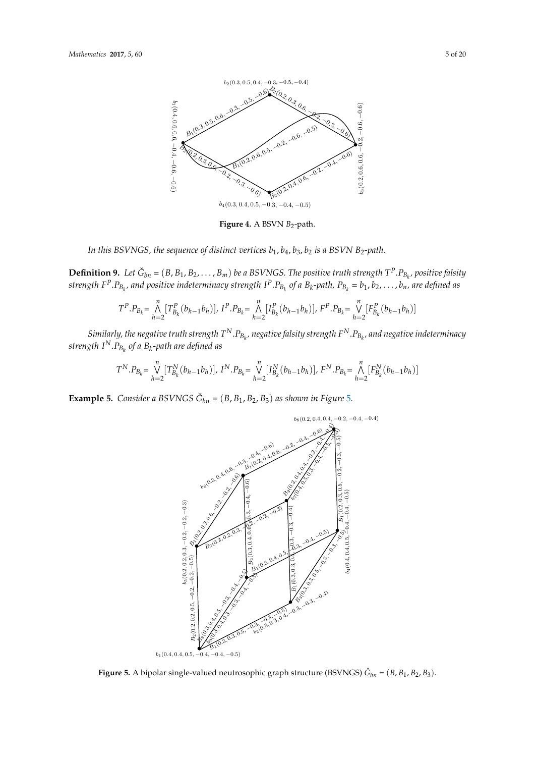<span id="page-4-0"></span>

Figure 4. A BSVN  $B_2$ -path.

In this BSVNGS, the sequence of distinct vertices  $b_1$ ,  $b_4$ ,  $b_3$ ,  $b_2$  is a BSVN B<sub>2</sub>-path.

 $I^{\dot{I}}$ **Definition 9.** Let  $\check{G}_{bn} = (B, B_1, B_2, \ldots, B_m)$  be a BSVNGS. The positive truth strength  $T^P.P_{B_k}$ , positive falsity strength F<sup>P</sup>.P<sub>Bk</sub>, and positive indeterminacy strength I<sup>P</sup>.P<sub>Bk</sub> of a B<sub>k</sub>-path, P<sub>B<sub>k</sub> = b<sub>1</sub>, b<sub>2</sub>, . . . , b<sub>n</sub>, are defined as</sub> **Definition 9.** Let  $\check{G}_{bn} = (B, B_1, B_2, \ldots, B_m)$  be a BSVNGS. The positive truth strength  $T^p \cdot P_{B_k}$ , positive falsity strength  $F^P \cdot P_{B_{k,l}}$  and positive indeterminacy strength  $I^P \cdot P_{B_{k,l}}$  of a  $B_k$ -path,  $P_{B_{k,l}} = b_1, b_2, \ldots, b_n$ , are defined as are defined as;

$$
T^{P}.P_{B_{k}} = \bigwedge_{h=2}^{n} [T_{B_{k}}^{P}(b_{h-1}b_{h})], I^{P}.P_{B_{k}} = \bigwedge_{h=2}^{n} [I_{B_{k}}^{P}(b_{h-1}b_{h})], F^{P}.P_{B_{k}} = \bigvee_{h=2}^{n} [F_{B_{k}}^{P}(b_{h-1}b_{h})]
$$

 $S$ imilarly, the negative truth strength  $T^N.P_{B_k}$ , negative falsity strength  $F^N.P_{B_k}$ , and negative indeterminacy strength  $I^N.P_{B_k}$  of a  $B_k$ -path are defined as  $\cdot$   $B_k$ , negative jaistry strength  $F$   $\cdot$   $B_k$ , and negative indeterminacy strength  $I^{\infty}$ . $FB_k^{\infty}$  of a B<sub>k</sub>-path are defined as

$$
T^N.P_{B_k} = \bigvee_{h=2}^n [T_{B_k}^N(b_{h-1}b_h)], \ I^N.P_{B_k} = \bigvee_{h=2}^n [I_{B_k}^N(b_{h-1}b_h)], \ F^N.P_{B_k} = \bigwedge_{h=2}^n [F_{B_k}^N(b_{h-1}b_h)]
$$

<span id="page-4-1"></span>**Example 5.** Consider a BSVNGS  $\check{G}_{bn} = (B, B_1, B_2, B_3)$  as shown [in](#page-4-1) Figure 5.



**Figure 5.** A bipolar single-valued neutrosophic graph structure (BSVNGS)  $\check{G}_{bn} = (B, B_1, B_2, B_3)$ .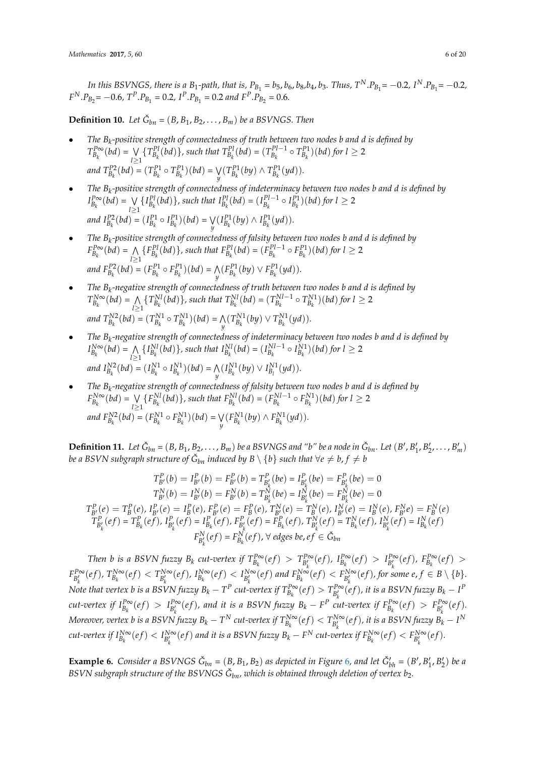In this BSVNGS, there is a B<sub>1</sub>-path, that is,  $P_{B_1} = b_5$ ,  $b_6$ ,  $b_8$ ,  $b_4$ ,  $b_3$ . Thus,  $T^N.P_{B_1} = -0.2$ ,  $I^N.P_{B_1} = -0.2$ ,  $F^N \cdot P_{B_2} = -0.6$ ,  $T^P \cdot P_{B_1} = 0.2$ ,  $I^P \cdot P_{B_1} = 0.2$  and  $F^P \cdot P_{B_2} = 0.6$ .

**Definition 10.** *Let*  $\check{G}_{bn} = (B, B_1, B_2, \ldots, B_m)$  *be a BSVNGS. Then* 

- *The B<sup>k</sup> -positive strength of connectedness of truth between two nodes b and d is defined by*  $T_{B_k}^{P\infty}(bd) = \bigvee_{l\geq 0}$ *l*≥1  ${T}_{B_k}^{Pl}(bd)$ , such that  ${T}_{B_k}^{Pl}(bd) = (T_{B_k}^{Pl-1})$  $B_k^{PL-1}$  ⊙  $T_{B_k}^{P1}$  $(\textit{bd})$  *for*  $l ≥ 2$ *and*  $T_{B_k}^{P2}(bd) = (T_{B_k}^{P1} \circ T_{B_k}^{P1})(bd) = \bigvee_k$  $\bigvee_{y} (T_{B_k}^{P1}(by) \wedge T_{B_k}^{P1}(yd)).$
- *The B<sup>k</sup> -positive strength of connectedness of indeterminacy between two nodes b and d is defined by*  $I_{B_k}^{P\infty}(bd) = \bigvee_{l\geq 0}$ *l*≥1  ${I}_{B_k}^{Pl}(bd)$ , such that  $I_{B_k}^{Pl}(bd) = (I_{B_k}^{Pl-1})$  $B_k^{Pl-1}$  ⊙  $I_{B_k}^{Pl}$  $)(bd)$  *for*  $l ≥ 2$ *and*  $I_{B_k}^{P2}(bd) = (I_{B_k}^{P1} \circ I_{B_k}^{P1})(bd) = \bigvee_k I_{B_k}^{P1}(bd)$  $\bigvee_{y} (I_{B_k}^{P1}(by) \wedge I_{B_k}^{P1}(yd)).$
- *The B<sup>k</sup> -positive strength of connectedness of falsity between two nodes b and d is defined by*  $F_{B_k}^{P\infty}(bd) = \bigwedge_{l\geq 0}$ *l*≥1  ${F}_{B_k}^{Pl}(bd)$ , such that  $F_{B_k}^{Pl}(bd) = (F_{B_k}^{Pl-1})$  $F_{B_k}^{Pl-1}$  ⊙  $F_{B_k}^{Pl}$  $)(bd)$  *for*  $l ≥ 2$ *and*  $F_{B_k}^{P2}(bd) = (F_{B_k}^{P1} \circ F_{B_k}^{P1})(bd) = \bigwedge$  $\mathcal{N}_y(F_{B_k}^{P1}(by) \vee F_{B_k}^{P1}(yd)).$
- *The B<sup>k</sup> -negative strength of connectedness of truth between two nodes b and d is defined by*  $T_{B_k}^{N\infty}(bd) = \bigwedge_{l\geq 0}$ *l*≥1  ${T}_{B_k}^{Nl} (bd)$ , such that  ${T}_{B_k}^{Nl} (bd) = (T_{B_k}^{Nl-1})$  $B_k^{Nl-1}$  ⊙  $T_{B_k}^{N1}$ )(*bd*) for  $l ≥ 2$ *and*  $T_{B_k}^{N2}(bd) = (T_{B_k}^{N1} \circ T_{B_k}^{N1})(bd) = \bigwedge_{y}$  $\bigwedge_{y} (T_{B_k}^{N1}(by) \vee T_{B_k}^{N1}(yd)).$
- *The B<sup>k</sup> -negative strength of connectedness of indeterminacy between two nodes b and d is defined by*  $I_{B_k}^{N\infty}(bd) = \bigwedge_{l\geq 0}$ *l*≥1  ${I}_{B_k}^{Nl}(bd)$ , such that  $I_{B_k}^{Nl}(bd) = (I_{B_k}^{Nl-1})$  $B_k^{Nl-1}$  ⊙  $I_{B_k}^{N1}$  $)(bd)$  *for*  $l ≥ 2$ and  $I_{B_k}^{N2}(bd) = (I_{B_k}^{N1} \circ I_{B_k}^{N1})(bd) = \bigwedge_y (I_{B_k}^{N1}(by) \vee I_{B_l}^{N1}(yd)).$ *y*
- *The B<sup>k</sup> -negative strength of connectedness of falsity between two nodes b and d is defined by*  $F_{B_k}^{N\infty}(bd) = \bigvee_{k \geq 0}$ *l*≥1  ${F_{B_k}^{Nl}(bd)}$ , such that  $F_{B_k}^{Nl}(bd) = (F_{B_k}^{Nl-1})$  $F_{B_k}^{Nl-1}$   $\circ$   $F_{B_k}^{N1}$  $)(bd)$  *for*  $l ≥ 2$ *and*  $F_{B_k}^{N2}(bd) = (F_{B_k}^{N1} \circ F_{B_k}^{N1})(bd) = \bigvee_k$  $\bigvee_{y} (F_{B_k}^{N1}(by) \wedge F_{B_k}^{N1}(yd)).$

**Definition 11.** Let  $\check{G}_{bn} = (B, B_1, B_2, \ldots, B_m)$  be a BSVNGS and "b" be a node in  $\check{G}_{bn}$ . Let  $(B', B'_1, B'_2, \ldots, B'_m)$ *be a BSVN subgraph structure of*  $\check{G}_{bn}$  *induced by B*  $\setminus$  *{b} such that*  $\forall e \neq b$ *, f*  $\neq b$ 

$$
T_{B'}^{P}(b) = I_{B'}^{P}(b) = T_{B'}^{P}(be) = I_{B'_{k}}^{P}(be) = I_{B'_{k}}^{P}(be) = 0
$$
  
\n
$$
T_{B'}^{N}(b) = I_{B'}^{N}(b) = T_{B'}^{N}(be) = T_{B'_{k}}^{N}(be) = I_{B'_{k}}^{N}(be) = 0
$$
  
\n
$$
T_{B'}^{P}(e) = T_{B}^{P}(e), I_{B'}^{P}(e) = I_{B}^{P}(e), F_{B'}^{P}(e) = F_{B}^{P}(e), T_{B'}^{N}(e) = T_{B}^{N}(e), I_{B'}^{N}(e) = I_{B}^{N}(e), F_{B'}^{N}(e) = I_{B}^{N}(e), F_{B'}^{N}(e) = I_{B}^{N}(e), F_{B'_{k}}^{N}(e) = T_{B_{k}}^{P}(e) = T_{B_{k}}^{P}(e) = T_{B_{k}}^{P}(e) = T_{B_{k}}^{N}(e) = T_{B_{k}}^{N}(e) = T_{B_{k}}^{N}(e) = T_{B_{k}}^{N}(e) = T_{B_{k}}^{N}(e) = T_{B_{k}}^{N}(e) = T_{B_{k}}^{N}(e) = T_{B_{k}}^{N}(e) = T_{B_{k}}^{N}(e) = T_{B_{k}}^{N}(e) = T_{B_{k}}^{N}(e) = T_{B_{k}}^{N}(e) = T_{B_{k}}^{N}(e) = T_{B_{k}}^{N}(e) = T_{B_{k}}^{N}(e) = T_{B_{k}}^{N}(e) = T_{B_{k}}^{N}(e) = T_{B_{k}}^{N}(e) = T_{B_{k}}^{N}(e) = T_{B_{k}}^{N}(e) = T_{B_{k}}^{N}(e) = T_{B_{k}}^{N}(e) = T_{B_{k}}^{N}(e) = T_{B_{k}}^{N}(e) = T_{B_{k}}^{N}(e) = T_{B_{k}}^{N}(e) = T_{B_{k}}^{N}(e) = T_{B_{k}}^{N}(e) = T_{B_{k}}^{N}(e) = T_{B_{k}}^{N}(e) = T_{B_{k}}^{N}(e) = T_{B_{k}}^{N}(e) = T_{B_{k}}^{N}(e) = T_{B_{k}}^{N}(e) = T_{B_{k}}^{N}(e) = T_{B_{k}}^{N}(e) = T_{B_{k
$$

Then b is a BSVN fuzzy  $B_k$  cut-vertex if  $T_{B_k}^{P\infty}(ef) > T_{B'_k}^{P\infty}(ef)$ ,  $I_{B_k}^{P\infty}(ef) > I_{B'_k}^{P\infty}(ef)$ ,  $F_{B_k}^{P\infty}(ef) >$  $F_{B'_k}^{P\infty}(ef)$ ,  $T_{B_k}^{N\infty}(ef) < T_{B'_k}^{N\infty}(ef)$ ,  $I_{B_k}^{N\infty}(ef) < I_{B'_k}^{N\infty}(ef)$  and  $F_{B_k}^{N\infty}(ef) < F_{B'_k}^{N\infty}(ef)$ , for some  $e, f \in B \setminus \{b\}$ . Note that vertex b is a BSVN fuzzy  $B_k - T^P$  cut-vertex if  $T_{B_k}^{P\infty}(ef) > T_{B'_k}^{P\infty}(ef)$ , it is a BSVN fuzzy  $B_k - I^P$ cut-vertex if  $I_{B_k}^{P\infty}(ef) > I_{B'_k}^{P\infty}(ef)$ , and it is a BSVN fuzzy  $B_k-F^P$  cut-vertex if  $F_{B_k}^{P\infty}(ef) > F_{B'_k}^{P\infty}(ef)$ . Moreover, vertex b is a BSVN fuzzy  $B_k - T^N$  cut-vertex if  $T_{B_k}^{N\infty}(ef) < T_{B'_k}^{N\infty}(ef)$ , it is a BSVN fuzzy  $B_k - I^N$ cut-vertex if  $I_{B_k}^{N\infty}(ef) < I_{B'_k}^{N\infty}(ef)$  and it is a BSVN fuzzy  $B_k - F^N$  cut-vertex if  $F_{B_k}^{N\infty}(ef) < F_{B'_k}^{N\infty}(ef)$ .

**Example [6](#page-6-0).** Consider a BSVNGS  $\check{G}_{bn} = (B, B_1, B_2)$  as depicted in Figure 6, and let  $\check{G}_{bh}' = (B', B'_1, B'_2)$  be a  $BSVN$  subgraph structure of the  $BSVNGS$   $\check{G}_{bn}$ , which is obtained through deletion of vertex  $b_2.$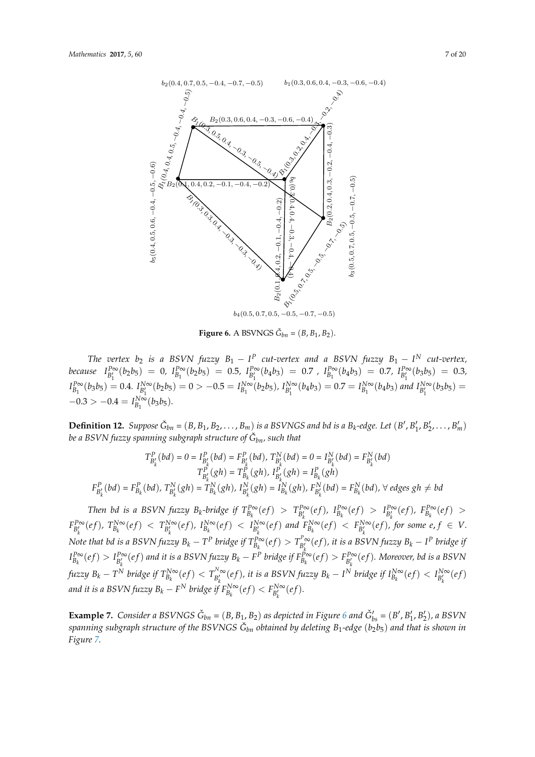<span id="page-6-0"></span>

**Figure 6.** A BSVNGS  $\check{G}_{bn} = (B, B_1, B_2)$ .

 $T_{\rm P}^{\rm PQ}(b_2b_5) = 0$ ,  $T_{\rm P}^{\rm PQ}(b_2b_5) = 0.5$ ,  $T_{\rm PQ}^{\rm PQ}(b_4b_3) = 0.7$ ,  $T_{\rm PQ}^{\rm PQ}(b_4b_3) = 0.7$ ,  $T_{\rm PQ}^{\rm PQ}(b_3b_5) = 0.3$ ,  $I_p^{B\infty}(b_3b_5) = 0.4$ .  $I_{pN}^{N\infty}(b_2b_5) = 0 > -0.5 = I_p^{N\infty}(b_2b_5)$ ,  $I_{pN}^{N\infty}(b_4b_3) = 0.7 = I_p^{N\infty}(b_4b_3)$  and  $I_{pN}^{N\infty}(b_3b_5) =$  $-0.3 > -0.4 = I_p^{\text{Now}}(b_3b_5).$  $\frac{b_1}{c_1}$  = 0.3 > -0.4 =  $I_2^{N\infty}(h_2h_5)$  $-0.3 > -0.4 = I_{B_1}^{N\infty}(b_3b_5).$ *The vertex*  $b_2$  *is a BSVN fuzzy*  $B_1 - I^P$  *cut-vertex and a BSVN fuzzy*  $B_1 - I^N$  *cut-vertex,* because  $I_{B_1'}^{P\infty}(b_2b_5) = 0$ ,  $I_{B_1}^{P\infty}(b_2b_5) = 0.5$ ,  $I_{B_1'}^{P\infty}(b_4b_3) = 0.7$ ,  $I_{B_1}^{P\infty}(b_4b_3) = 0.7$ ,  $I_{B_1'}^{P\infty}(b_3b_5) = 0.3$ ,  $I_{B_1}^{P\infty}(b_3b_5) = 0.4.$   $I_{B_1'}^{N\infty}(b_2b_5) = 0 > -0.5 = I_{B_1}^{N\infty}(b_2b_5)$ ,  $I_{B_1'}^{N\infty}(b_4b_3) = 0.7 = I_{B_1}^{N\infty}(b_4b_3)$  and  $I_{B_1'}^{N\infty}(b_3b_5) =$ 

be a BSVN fuzzy spanning subgraph structure of  $\check{G}_{bn}$ , such that **Definition 12.** Suppose  $\check{G}_{bn} = (B, B_1, B_2, \ldots, B_m)$  is a BSVNGS and bd is a  $B_k$ -edge. Let  $(B', B'_1, B'_2, \ldots, B'_m)$ *be a BSVN fuzzy spanning subgraph structure of G*ˇ *bn, such that*

$$
T_{B'_k}^P(bd) = 0 = I_{B'_k}^P(bd) = F_{B'_k}^P(bd), T_{B'_k}^N(bd) = 0 = I_{B'_k}^N(bd) = F_{B'_k}^N(bd)
$$

$$
T_{B'_k}^P(gh) = T_{B_k}^P(gh), I_{B'_k}^P(gh) = I_{B_k}^P(gh)
$$

$$
F_{B'_k}^P(bd) = F_{B_k}^P(bd), T_{B'_k}^N(gh) = T_{B_k}^N(gh), I_{B'_k}^N(gh) = I_{B_k}^N(gh), F_{B'_k}^N(bd) = F_{B_k}^N(bd), \forall \text{ edges } gh \neq bd
$$

 $F_{H}$  B<sub>i</sub>-hridge if  $T_{\cdot}^{\mathbb{P}\infty}(\rho f) > T_{\cdot}^{\mathbb{P}\infty}(\rho f)$   $I_{\cdot}^{\mathbb{P}\infty}(\rho f)$  $F_{B'_h}^{P\infty}(ef)$ ,  $T_{B_k}^{N\infty}(ef) < T_{B'_h}^{N\infty}(ef)$ ,  $I_{B'_h}$ Note that bd is a BSVN fuzzy  $B_k - T^P$  bridge if  $T_{B_k}^{P\infty}(ef) > T_{R'}^{P\infty}(ef)$ , it is a BSVN fuzzy  $B_k - I^P$  bridge if  $I_{B_k}^{P\infty}(ef) > I_{B'}^{P\infty}(ef)$  and it is a BSVN fuzzy  $B_k - \hat{F^P}$  bridge  $\int f \cdot dz$   $B_k - T^N$  bridge if  $T_{B_k}^{N\infty}(ef) < T_{B'_k}^{N\infty}(ef)$ , it is a BSVN fuzzy  $B_k - I^N$  bridge if  $I_{B_k}^{N\infty}(ef) < I_{B'_k}^{N\infty}(ef)$ and it is a BSVN fuzzy  $B_k-F^N$  bridge if  $F_{B_k}^{N\infty}(ef)< F_{B'_k}^{N\infty}(ef).$  $ef) < F_{B'_b}^{N\infty}(ef).$ Then bd is a BSVN fuzzy  $B_k$ -bridge if  $T_{B_k}^{P\infty}(ef) > T_{B'_k}^{P\infty}(ef)$ ,  $I_{B_k}^{P\infty}(ef) > I_{B'_k}^{P\infty}(ef)$ ,  $F_{B_k}^{P\infty}(ef) > I_{B'_k}^{P\infty}(ef)$  $F_{B'_k}^{P\infty}(ef)$ ,  $T_{B_k}^{N\infty}(ef) < T_{B'_k}^{N\infty}(ef)$ ,  $I_{B_k}^{N\infty}(ef) < I_{B'_k}^{N\infty}(ef)$  and  $F_{B_k}^{N\infty}(ef) < F_{B'_k}^{N\infty}(ef)$ , for some  $e, f \in V$ . Note that bd is a BSVN fuzzy  $B_k - T^P$  bridge if  $T_{B_k}^{P\infty}(ef) > T_{B'_k}^{P\infty}(ef)$ , it is a BSVN fuzzy  $B_k - I^P$  bridge if  $I_{B_k}^{P\infty}(ef) > I_{B'_k}^{P\infty}(ef)$  and it is a BSVN fuzzy  $B_k - F^P$  bridge if  $F_{B_k}^{P\infty}(ef) > F_{B'_k}^{P\infty}(ef)$ . Moreover, bd is a BSVN fuzzy  $B_k - T^N$  bridge if  $T^{N\infty}_{B'_k}(ef) < T^{N\infty}_{B'_k}(ef)$ , it is a BSVN fuzzy  $B_k - I^N$  bridge if  $I^{N\infty}_{B'_k}(ef) < I^{N\infty}_{B'_k}(ef)$ 

 $\sum_{i=1}^{k}$   $\sum_{i=1}^{k}$   $\sum_{i=1}^{k}$   $\sum_{i=1}^{k}$   $\sum_{i=1}^{k}$   $\sum_{i=1}^{k}$   $\sum_{i=1}^{k}$   $\sum_{i=1}^{k}$   $\sum_{i=1}^{k}$   $\sum_{i=1}^{k}$   $\sum_{i=1}^{k}$   $\sum_{i=1}^{k}$   $\sum_{i=1}^{k}$   $\sum_{i=1}^{k}$   $\sum_{i=1}^{k}$   $\sum_{i=1}^{k}$   $\sum_{i=1}^{k}$  <sup>N</sup> bridge if Example 7. Consular a BSV1NGS  $G_{bn} = (B, B_1, B_2)$  as depicted in Figure 0 and  $G_{bs} = (B, B_1, B_2)$ , a BSV1N<br>spanning subgraph structure of the BSVNGS  $\check{G}_{bn}$  obtained by deleting  $B_1$ -edge  $(b_2b_5)$  and that is shown in **Example 7.** Consider a BSVNGS  $\check{G}_{bn} = (B, B_1, B_2)$  as depicted in Figure [6](#page-6-0) and  $\check{G}_{bs}' = (B', B'_1, B'_2)$ , a BSVN  $E_{\text{gure}}$  2.19. Consider a BSV  $\Omega$ *Figure [7.](#page-7-0)*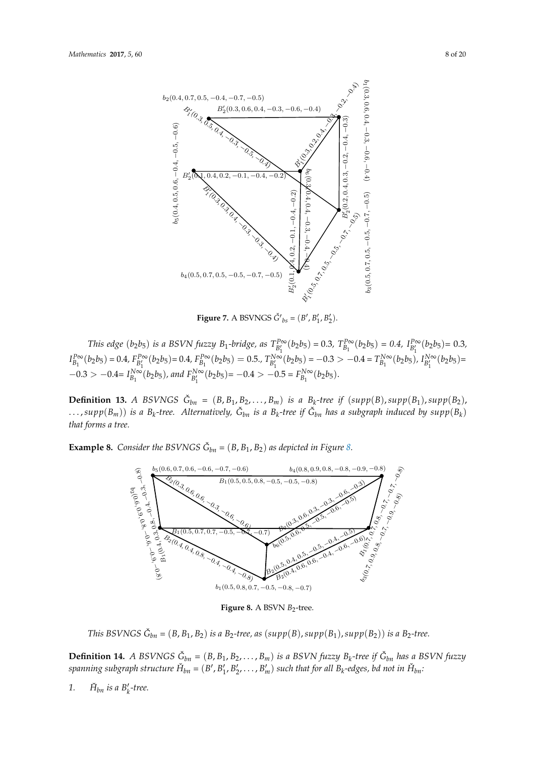<span id="page-7-0"></span>

Figure 2.7: A BSVNGS Gˇ′  $\begin{pmatrix} 1 & 2 \end{pmatrix}$  $\mathcal{L}$ ,  $\mathcal{L}$ **Figure 7.** A BSVNGS  $\check{G}'_{bs} = (B', B'_1, B'_2)$ .

 $I_{B_1}^{P\infty}(b_2b_5) = 0.4$ ,  $F_{B_1'}^{P\infty}(b_2b_5) = 0.4$ ,  $F_{B_1}^{P\infty}(b_2b_5) = 0.5$ .,  $T_{B_1'}^{N\infty}(b_2b_5) = -0.3 > -0.4 = T_{B_1}^{N\infty}(b_2b_5)$ ,  $I_{B_1'}^{N\infty}(b_2b_5) =$  $-0.3 > -0.4 = I_{B_1}^{N_{\infty}^{>0}}(b_2b_5)$ , and  $F_{B'_1}^{N_{\infty}}(b_2b_5) = -0.4 > -0.5 = F_{B_1}^{N_{\infty}}(b_2b_5)$ . This edge (b<sub>2</sub>b<sub>5</sub>) is a BSVN fuzzy B<sub>1</sub>-bridge, as  $T_{B_1'}^{P\infty}(b_2b_5) = 0.3$ ,  $T_{B_1}^{P\infty}(b_2b_5) = 0.4$ ,  $I_{B_1'}^{P\infty}(b_2b_5) = 0.3$ ,  $I_{B_1}^{P\infty}(b_2b_5)=0.4,\nonumber\\ F_{B_1'}^{P\infty}(b_2b_5)=0.4,\nonumber\\ F_{B_1}^{P\infty}(b_2b_5)=0.5,\nonumber\\ T_{B_1'}^{N\infty}(b_2b_5)=-0.3>-0.4=T_{B_1}^{N\infty}(b_2b_5),\nonumber\\ I_{B_1'}^{N\infty}(b_2b_5)=0.5,\nonumber\\ I_{B_1'}^{N\infty}(b_2b_5)=0.5,\nonumber\\ I_{B_1'}^{N\infty}(b_2b_5)=0.5,\nonumber\\ I_{B_1'}^{N\infty}(b_$  $-0.3 > -0.4 = I_{B_1}^{N\infty}(b_2b_5)$ , and  $F_{B_1'}^{N\infty}(b_2b_5) = -0.4 > -0.5 = F_{B_1}^{N\infty}(b_2b_5)$ . This edge  $(b_2b_5)$  is a BSVN fuzz  $H$  fuzzy  $B_1$ -bridge, as  $T_{pQ}^{P\infty}(b_2b_5) = 0.3$ ,  $T_p^{P\infty}(b_2b_5) = 0.4$ ,  $I_{pQ}^{P\infty}(b_2b_5) = 0.3$ ,  $I_{B_2}^{P\infty}(b_2b_5) = 0.4$ ,  $F_{p'}^{P\infty}(b_2b_5)$  $\int_{B_1}^{B_2}(b_2b_5) = 0.4, F_{B_1}^{P\infty}(b_2b_5) = 0.5, F_{B_1}^{N\infty}(b_2b_5) = -0.3 > -0.4 = T_{B_1}^{N\infty}$  $T^{N\infty}_{B_1}(b_2b_5)$ ,  $I^1_B$  $\sum_{Q: Q \leq P} 0.32 - B_{B_1} (v_2 v_5)$ , and  $B_1^{B_1} (v_2 v_5) = 0.32 - B_{B_1} (v_2 v_5)$ .

**Definition 13.** A BSVNGS  $\check{G}_{bn} = (B, B_1, B_2, \ldots, B_m)$  is a  $B_k$ -tree if  $(supp(B), supp(B_1), supp(B_2))$ ,  $\ldots$ , supp $(B_m)$ ) is a  $B_k$ -tree. Alternatively,  $\check{G}_{bn}$  is a  $B_k$ -tree if  $\check{G}_{bn}$  has a subgraph induced by  $supp(B_k)$ that forms a tree.

**Example [8.](#page-7-1)** *Consider the BSVNGS*  $\check{G}_{bn} = (B, B_1, B_2)$  *as depicted in Figure 8.* Example 2.  $Covilm!b_1 BCIDICC \overset{\sim}{\Omega}$  (B, B, B) as depicted in Fig. 2.8

 $\frac{1}{\sqrt{2}}$ 

<span id="page-7-1"></span>

Figure 8. A BSVN  $B_2$ -tree. Figure 2.8: A bipolar single-valued neutrosophic B2-tree

This BSVNGS  $\check{G}_{bn} = (B, B_1, B_2)$  is a B<sub>2</sub>-tree, as  $(supp(B), supp(B_1), supp(B_2))$  is a B<sub>2</sub>-tree.

**Definition 14.** A BSVNGS  $G_{bn} = (B, B_1, B_2, \ldots, B_m)$  is a BSVN fuzzy  $B_k$ -tree if  $G_{bn}$  has a BSVN fuzzy spanning subgraph structure  $H_{bn} = (B', B'_1, B'_2, \ldots, B'_m)$  such that for all  $B_k$ -edges, bd not in  $H_{bn}$ : **Definition 14** A BSVNCS  $\check{C}_r = (R, R, R_2, R_1)$  is a BSVN fuzzy B, tree if  $\check{C}_r$ , hes a BSVN fuzzy spanning subgraph structure  $H_{bn}$  =  $(B', B_1', B_2', \ldots, B_m')$  such that for all  $B_k$ -edges, bd not in  $H_{bn}$ : **Definition 14.** A BSVNGS  $\check{G}_{bn} = (B, B_1, B_2, \ldots, B_m)$  is a BSVN fuzzy  $B_k$ -tree if  $\check{G}_{bn}$  has a BSVN fuzzy  $B_p$  *spanning subgraph structure*  $\check{H}_{bn} = (B', B'_1, B'_2, \ldots, B'_m)$  *such that for all*  $B_k$ *-edges, bd not in*  $\check{H}_{bn}$ .

1.  $\check{H}_{bn}$  *is a B*'<sub>k</sub>-tree.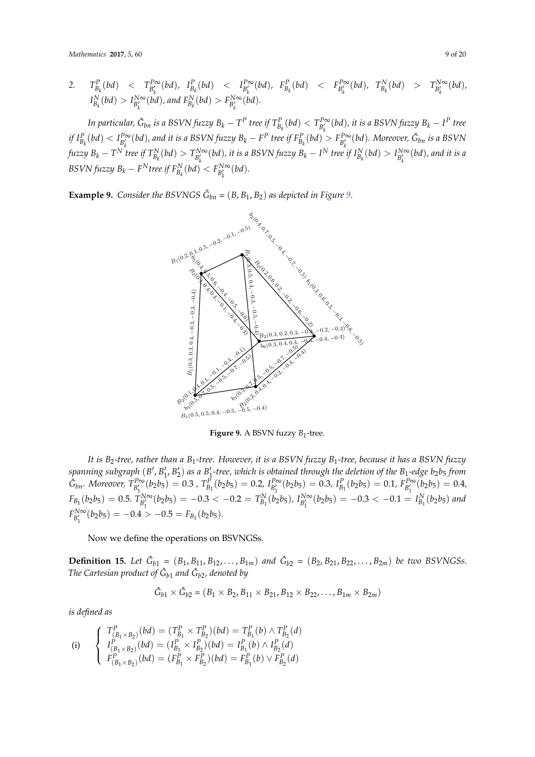*Mathematics* **2017**, *5*, 60 9 of 20

2. 
$$
T_{B_k}^P(bd) < T_{B'_k}^{P\infty}(bd)
$$
,  $I_{B_k}^P(bd) < I_{B'_k}^{P\infty}(bd)$ ,  $F_{B_k}^P(bd) < F_{B'_k}^{P\infty}(bd)$ ,  $T_{B'_k}^N(bd) > T_{B'_k}^{N\infty}(bd)$ ,  
\n $I_{B_k}^N(bd) > I_{B'_k}^{N\infty}(bd)$ , and  $F_{B_k}^N(bd) > F_{B'_k}^{N\infty}(bd)$ .

In particular,  $\check G_{bn}$  is a BSVN fuzzy  $B_k-T^P$  tree if  $T^P_{B_k}(bd)< T^{P\infty}_{B'_k}(bd)$ , it is a BSVN fuzzy  $B_k-I^P$  tree if  $I_{B_k}^P(bd) < I_{B'_k}^{P\infty}(bd)$ , and it is a BSVN fuzzy  $B_k - F^P$  tree if  $F_{B_k}^P(bd) > F_{B'_k}^{P\infty}(bd)$ . Moreover,  $\check{G}_{bn}$  is a BSVN fuzzy  $B_k - T^N$  tree if  $T_{B_k}^N(bd) > T_{B'_k}^{N\infty}(bd)$ , it is a BSVN fuzzy  $B_k - I^N$  tree if  $I_{B_k}^N(bd) > I_{B'_k}^{N\infty}(bd)$ , and it is a  $BSVN$  *fuzzy*  $B_k - F^N$  *tree if*  $F_{B_k}^N(bd) < F_{B'_k}^{N\infty}(bd)$ *.*  $\int_{R}$  if  $I_{R}^{p}$  (bd)  $\langle I_{R}^{p\infty}(bd)$ , and it is a BSVN fuzzy  $B_k - F^P$  tree if  $F_{R}^{p}$  (bd)  $\langle I_{R}^{p\infty}(bd)$ . Moreover,  $\check{G}_{hn}$  is a BSVN  $\mathcal{L}_{\mathcal{L}}$   $\mathcal{L}_{\mathcal{L}}$   $\mathcal{L}_{\mathcal{L}}$   $\mathcal{L}_{\mathcal{L}}$   $\mathcal{L}_{\mathcal{L}}$   $\mathcal{L}_{\mathcal{L}}$   $\mathcal{L}_{\mathcal{L}}$   $\mathcal{L}_{\mathcal{L}}$   $\mathcal{L}_{\mathcal{L}}$   $\mathcal{L}_{\mathcal{L}}$   $\mathcal{L}_{\mathcal{L}}$   $\mathcal{L}_{\mathcal{L}}$   $\mathcal{L}_{\mathcal{L}}$   $\mathcal{L}_{\mathcal{L}}$   $\mathcal{L}_{\mathcal{$  $\frac{1}{B_k}$   $\frac{1}{B_k}$   $\frac{1}{B_k}$   $\frac{1}{B_k}$   $\frac{1}{B_k}$   $\frac{1}{B_k}$   $\frac{1}{B_k}$   $\frac{1}{B_k}$   $\frac{1}{B_k}$   $\frac{1}{B_k}$   $\frac{1}{B_k}$   $\frac{1}{B_k}$   $\frac{1}{B_k}$   $\frac{1}{B_k}$   $\frac{1}{B_k}$   $\frac{1}{B_k}$   $\frac{1}{B_k}$   $\frac{1}{B_k}$   $\frac{1}{B_k}$   $\frac{1}{B_k}$   $D\sigma$  VIV  $\mu$ 22y  $D_k$   $\qquad$   $\qquad$   $\qquad$   $\qquad$   $\qquad$   $\qquad$   $\qquad$   $\qquad$   $\qquad$   $\qquad$   $\qquad$   $\qquad$   $\qquad$   $\qquad$   $\qquad$   $\qquad$   $\qquad$   $\qquad$   $\qquad$   $\qquad$   $\qquad$   $\qquad$   $\qquad$   $\qquad$   $\qquad$   $\qquad$   $\qquad$   $\qquad$   $\qquad$   $\qquad$   $\qquad$   $\qquad$   $\qquad$  <sup>N</sup> tree if F

<span id="page-8-0"></span>**Example 9.** *Consider the BSVNGS*  $\check{G}_{bn} = (B, B_1, B_2)$  *as depicted [in](#page-8-0) Figure 9.* 



**Figure 9.** A BSVN fuzzy  $B_1$ -tree.

It is  $B_2$ -tree, rather than a  $B_1$ -tree. However, it is a BSVN fuzzy  $B_1$ -tree, because it has a BSVN fuzzy spanning subgraph  $(B', B'_1, B'_2)$  as a  $B'_1$ -tree, which is obtained through the deletion of the  $B_1$ -edge  $b_2b_5$  from  $\ddot{G}_{bn}$ . Moreover,  $T_{B'}^{P\infty}(b_2b_5) = 0.3$ ,  $T_{B_1}^{P}(b_2b_5) = 0.2$ ,  $I_{B'}^{P\infty}(b_2b_5) = 0.3$ ,  $I_{B_1}^{P}(b_2b_5) = 0.1$ ,  $F_{B'}^{P\infty}(b_2b_5) = 0.4$ ,  $F_{B_1}(b_2b_5) = 0.5.$   $T_{B_1}^{N\infty}(b_2b_5) = -0.3 < -0.2 = T_{B_1}^{N}(b_2b_5)$ ,  $I_{B_1}^{N\infty}(b_2b_5) = -0.3 < -0.1 = I_{B_1}^{N}(b_2b_5)$  and  $P_1 \left(1 + \frac{b_1}{b_1}\right)$  $\frac{1}{2}$  $\check{G}_{bn}$ . Moreover,  $T_{B'_1}^{P\infty}(b_2b_5) = 0.3$ ,  $T_{B_1}^P(b_2b_5) = 0.2$ ,  $I_{B'_1}^{P\infty}(b_2b_5) = 0.3$ ,  $I_{B_1}^P(b_2b_5) = 0.1$ ,  $F_{B'_1}^{P\infty}(b_2b_5) = 0.4$ ,  $F_{B_1}(b_2b_5) = 0.5$ .  $T_{B'_1}^{N\infty}(b_2b_5) = -0.3 < -0.2 = T_{B_1}^N(b_2b_5)$ ,  $I_{B'_1}^{N\infty}(b_2b_5) = -0.3 < -0.1 = I_{B_1}^N(b_2b_5)$  and  $F_{B_1'}^{N\infty}(b_2b_5) = -0.4 > -0.5 = F_{B_1}(b_2b_5).$ 

Now we define the operations on BSVNGSs. <sup>b</sup><sup>1</sup> and Gˇ

**Definition 15.** Let  $\check{G}_{b1} = (B_1, B_{11}, B_{12}, \ldots, B_{1m})$  and  $\check{G}_{b2} = (B_2, B_{21}, B_{22}, \ldots, B_{2m})$  be two BSVNGSs. *The Cartesian product of*  $\check{G}_{b1}$  *and*  $\check{G}_{b2}$ *, denoted by* 

$$
\check{G}_{b1} \times \check{G}_{b2} = (B_1 \times B_2, B_{11} \times B_{21}, B_{12} \times B_{22}, \ldots, B_{1m} \times B_{2m})
$$

is defined as

(i) 
$$
\begin{cases}\nT_{(B_1 \times B_2)}^P(bd) = (T_{B_1}^P \times T_{B_2}^P)(bd) = T_{B_1}^P(b) \wedge T_{B_2}^P(d) \\
I_{(B_1 \times B_2)}^P(bd) = (I_{B_1}^P \times I_{B_2}^P)(bd) = I_{B_1}^P(b) \wedge I_{B_2}^P(d) \\
F_{(B_1 \times B_2)}^P(bd) = (F_{B_1}^P \times F_{B_2}^P)(bd) = F_{B_1}^P(b) \vee F_{B_2}^P(d)\n\end{cases}
$$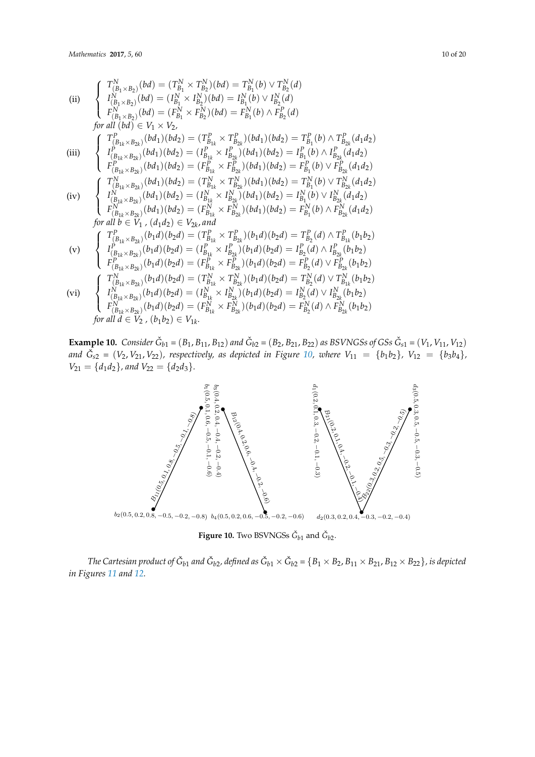(ii) 
$$
\begin{cases}\nT_{(B_1 \times B_2)}^N(bd) = (T_{B_1}^N \times T_{B_2}^N)(bd) = T_{B_1}^N(b) \vee T_{B_2}^N(d) \\
I_{(B_1 \times B_2)}^N(bd) = (I_{B_1}^N \times I_{B_2}^N)(bd) = I_{B_1}^N(b) \vee I_{B_2}^N(d) \\
F_{(B_1 \times B_2)}^N(bd) = (F_{B_1}^N \times F_{B_2}^N)(bd) = F_{B_1}^N(b) \wedge F_{B_2}^P(d) \\
for all (bd) \in V_1 \times V_2,\n\end{cases}
$$
\n(iii) 
$$
\begin{cases}\nT_{(B_{1k} \times B_{2k})}^P(bd_1)(bd_2) = (T_{B_{1k}}^P \times T_{B_{2k}}^P)(bd_1)(bd_2) = T_{B_1}^P(b) \wedge T_{B_{2k}}^P(d_1d_2) \\
I_{(B_{1k} \times B_{2k})}^P(bd_1)(bd_2) = (I_{B_{1k}}^P \times I_{B_{2k}}^P)(bd_1)(bd_2) = I_{B_1}^P(b) \vee I_{B_{2k}}^P(d_1d_2) \\
F_{(B_{1k} \times B_{2k})}^P(bd_1)(bd_2) = (T_{B_{1k}}^P \times T_{B_{2k}}^P)(bd_1)(bd_2) = F_{B_1}^P(b) \vee T_{B_{2k}}^N(d_1d_2) \\
I_{(B_{1k} \times B_{2k})}^N(bd_1)(bd_2) = (T_{B_{1k}}^N \times T_{B_{2k}}^N)(bd_1)(bd_2) = T_{B_1}^N(b) \vee T_{B_{2k}}^N(d_1d_2) \\
I_{(B_{1k} \times B_{2k})}^N(bd_1)(bd_2) = (I_{B_{1k}}^N \times I_{B_{2k}}^N)(bd_1)(bd_2) = I_{B_1}^N(b) \vee I_{B_{2k}}^N(d_1d_2) \\
I_{(B_{1k} \times B_{2k})}^N(bd_1)(bd_2) = (F_{B_{1k}}^N \times F_{B_{2k}}^P)(bd_1)(bd_2) = F_{B_1}^N(b) \wedge F
$$

**Example 10.** Consider  $\check{G}_{b1} = (B_1, B_{11}, B_{12})$  and  $\check{G}_{b2} = (B_2, B_{21}, B_{22})$  as BSVNGSs of GSs  $\check{G}_{s1} = (V_1, V_{11}, V_{12})$ and  $\check{G}_{s2} = (V_2, V_{21}, V_{22})$ , respectively, as depicted in Figure [10,](#page-9-0) where  $V_{11} = \{b_1b_2\}$ ,  $V_{12} = \{b_3b_4\}$ ,  $V_{21} = \{d_1d_2\}$ , and  $V_{22} = \{d_2d_3\}$ . **Example 10.** Consider  $\check{G}_{14} = (B_1, B_{11}, B_{12})$  and  $\check{G}_{142} = (B_2, B_{21}, B_{22})$  as BSVNGSs of GSs  $\check{G}_{24} = (V_1, V_{11}, V_{12})$ **Example 10:** Constant  $\Theta_{b1} = (V_1, V_1_1, V_1_2)$  and  $\Theta_{b2} = (V_2, V_2_1, V_2_2)$  as bey recess by GSS  $\Theta_{s1} = (V_1, V_1_1, V_1_2)$ <br>and  $\tilde{G}_{s2} = (V_2, V_{21}, V_{22})$ , respectively, as depicted in Figure 10, where  $V_{11} = \{h_1h$  $V_{21} = \{d_1d_2\}$  and  $V_{22} = \{d_2d_3\}$ .

<span id="page-9-0"></span>

**Figure 10.** Two BSVNGSs  $\check{G}_{b1}$  and  $\check{G}_{b2}$ .

The Cartesian product of  $\check{G}_{b1}$  and  $\check{G}_{b2}$ , defined as  $\check{G}_{b1} \times \check{G}_{b2} = \{B_1 \times B_2, B_{11} \times B_{21}, B_{12} \times B_{22}\}$ , is depicted in Fig. 2.11 and 2.12. *in Figures [11](#page-10-0) and [12.](#page-10-1)*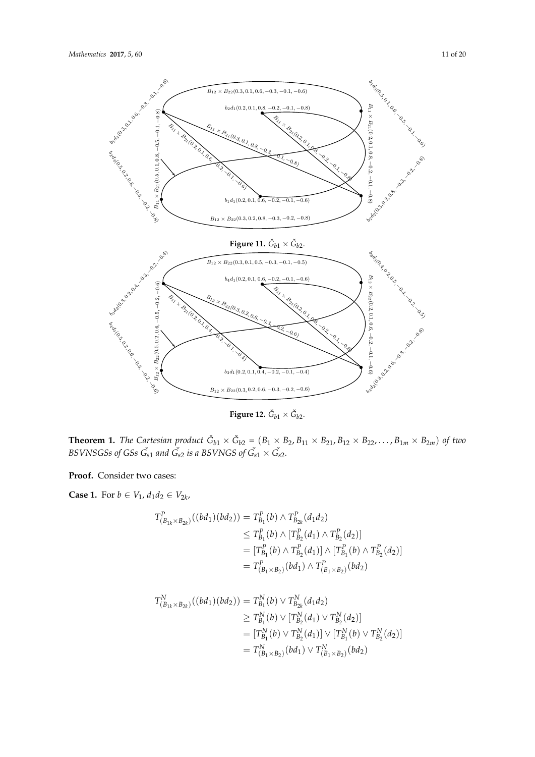<span id="page-10-0"></span>

 $\bf{Figure~12.}~~\check{G}_{b1}\times\check{G}_{b2}.$ 

<span id="page-10-1"></span>−0.6) <sup>B</sup><sup>12</sup> <sup>×</sup> <sup>B</sup>22(0.3, <sup>0</sup>.2, <sup>0</sup>.6, <sup>−</sup>0.3, <sup>−</sup>0.2, <sup>−</sup>0.6) Figure 2.12: Gˇ <sup>b</sup><sup>1</sup> × Gˇ b2 BSVNSGSs of GSs  $\check{G}_{s1}$  and  $\check{G}_{s2}$  is a BSVNGS of  $\check{G}_{s1} \times \check{G}_{s2}$ . BSVNSGSs of GSs Gˇ <sup>s</sup><sup>1</sup> and Gˇ <sup>s</sup><sup>2</sup> is a BSVNGS of Gˇ <sup>s</sup><sup>1</sup> × Gˇ <sup>s</sup>2. **Theorem 1.** The Cartesian product  $\check{G}_{b1} \times \check{G}_{b2} = (B_1 \times B_2, B_{11} \times B_{21}, B_{12} \times B_{22}, \ldots, B_{1m} \times B_{2m})$  of two *BSVNSGSs of GSs*  $\check{G}_{s1}$  *and*  $\check{G}_{s2}$  *is a BSVNGS of*  $\check{G}_{s1} \times \check{G}_{s2}$ *.* 

Proof. Consider two cases: **Proof.** Consider two cases:

**Case 1.** For *b* ∈ *V*<sub>1</sub>, *d*<sub>1</sub>*d*<sub>2</sub> ∈ *V*<sub>2*k*</sub>,

$$
T_{(B_{1k} \times B_{2k})}^{P}((bd_1)(bd_2)) = T_{B_1}^{P}(b) \wedge T_{B_{2k}}^{P}(d_1d_2)
$$
  
\n
$$
\leq T_{B_1}^{P}(b) \wedge [T_{B_2}^{P}(d_1) \wedge T_{B_2}^{P}(d_2)]
$$
  
\n
$$
= [T_{B_1}^{P}(b) \wedge T_{B_2}^{P}(d_1)] \wedge [T_{B_1}^{P}(b) \wedge T_{B_2}^{P}(d_2)]
$$
  
\n
$$
= T_{(B_1 \times B_2)}^{P}(bd_1) \wedge T_{(B_1 \times B_2)}^{P}(bd_2)
$$

P

P

$$
T_{(B_{1k} \times B_{2k})}^{N}((bd_1)(bd_2)) = T_{B_1}^{N}(b) \vee T_{B_{2k}}^{N}(d_1d_2)
$$
  
\n
$$
\geq T_{B_1}^{N}(b) \vee [T_{B_2}^{N}(d_1) \vee T_{B_2}^{N}(d_2)]
$$
  
\n
$$
= [T_{B_1}^{N}(b) \vee T_{B_2}^{N}(d_1)] \vee [T_{B_1}^{N}(b) \vee T_{B_2}^{N}(d_2)]
$$
  
\n
$$
= T_{(B_1 \times B_2)}^{N}(bd_1) \vee T_{(B_1 \times B_2)}^{N}(bd_2)
$$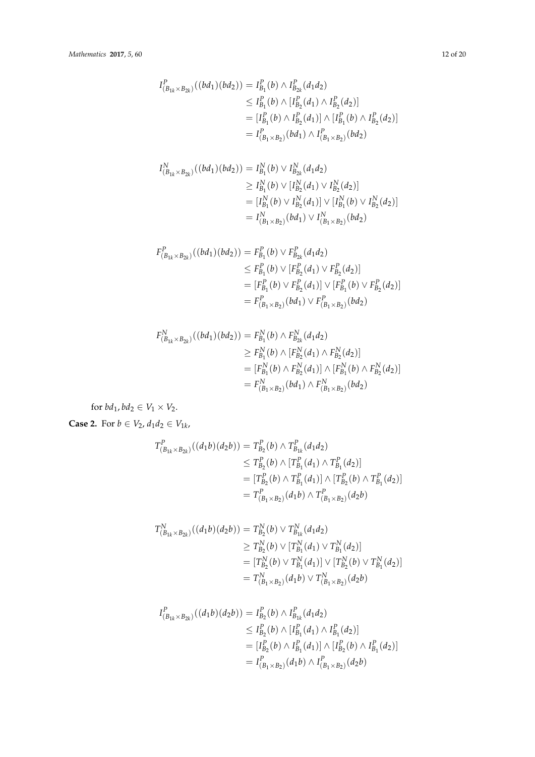$$
I_{(B_{1k} \times B_{2k})}^{P}((bd_1)(bd_2)) = I_{B_1}^{P}(b) \wedge I_{B_{2k}}^{P}(d_1d_2)
$$
  
\n
$$
\leq I_{B_1}^{P}(b) \wedge [I_{B_2}^{P}(d_1) \wedge I_{B_2}^{P}(d_2)]
$$
  
\n
$$
= [I_{B_1}^{P}(b) \wedge I_{B_2}^{P}(d_1)] \wedge [I_{B_1}^{P}(b) \wedge I_{B_2}^{P}(d_2)]
$$
  
\n
$$
= I_{(B_1 \times B_2)}^{P}(bd_1) \wedge I_{(B_1 \times B_2)}^{P}(bd_2)
$$

$$
I_{(B_{1k} \times B_{2k})}^N((bd_1)(bd_2)) = I_{B_1}^N(b) \vee I_{B_{2k}}^N(d_1d_2)
$$
  
\n
$$
\geq I_{B_1}^N(b) \vee [I_{B_2}^N(d_1) \vee I_{B_2}^N(d_2)]
$$
  
\n
$$
= [I_{B_1}^N(b) \vee I_{B_2}^N(d_1)] \vee [I_{B_1}^N(b) \vee I_{B_2}^N(d_2)]
$$
  
\n
$$
= I_{(B_1 \times B_2)}^N(bd_1) \vee I_{(B_1 \times B_2)}^N(bd_2)
$$

$$
F_{(B_{1k} \times B_{2k})}^{P}((bd_1)(bd_2)) = F_{B_1}^{P}(b) \vee F_{B_{2k}}^{P}(d_1d_2)
$$
  
\n
$$
\leq F_{B_1}^{P}(b) \vee [F_{B_2}^{P}(d_1) \vee F_{B_2}^{P}(d_2)]
$$
  
\n
$$
= [F_{B_1}^{P}(b) \vee F_{B_2}^{P}(d_1)] \vee [F_{B_1}^{P}(b) \vee F_{B_2}^{P}(d_2)]
$$
  
\n
$$
= F_{(B_1 \times B_2)}^{P}(bd_1) \vee F_{(B_1 \times B_2)}^{P}(bd_2)
$$

$$
F_{(B_{1k} \times B_{2k})}^{N}((bd_1)(bd_2)) = F_{B_1}^{N}(b) \wedge F_{B_{2k}}^{N}(d_1d_2)
$$
  
\n
$$
\geq F_{B_1}^{N}(b) \wedge [F_{B_2}^{N}(d_1) \wedge F_{B_2}^{N}(d_2)]
$$
  
\n
$$
= [F_{B_1}^{N}(b) \wedge F_{B_2}^{N}(d_1)] \wedge [F_{B_1}^{N}(b) \wedge F_{B_2}^{N}(d_2)]
$$
  
\n
$$
= F_{(B_1 \times B_2)}^{N}(bd_1) \wedge F_{(B_1 \times B_2)}^{N}(bd_2)
$$

for  $bd_1, bd_2 \in V_1 \times V_2$ .

**Case 2.** For  $b \in V_2$ ,  $d_1 d_2 \in V_{1k}$ ,

$$
T^{P}_{(B_{1k} \times B_{2k})}((d_1b)(d_2b)) = T^{P}_{B_2}(b) \wedge T^{P}_{B_{1k}}(d_1d_2)
$$
  
\n
$$
\leq T^{P}_{B_2}(b) \wedge [T^{P}_{B_1}(d_1) \wedge T^{P}_{B_1}(d_2)]
$$
  
\n
$$
= [T^{P}_{B_2}(b) \wedge T^{P}_{B_1}(d_1)] \wedge [T^{P}_{B_2}(b) \wedge T^{P}_{B_1}(d_2)]
$$
  
\n
$$
= T^{P}_{(B_1 \times B_2)}(d_1b) \wedge T^{P}_{(B_1 \times B_2)}(d_2b)
$$

$$
T_{(B_{1k} \times B_{2k})}^{N}((d_1b)(d_2b)) = T_{B_2}^{N}(b) \vee T_{B_{1k}}^{N}(d_1d_2)
$$
  
\n
$$
\geq T_{B_2}^{N}(b) \vee [T_{B_1}^{N}(d_1) \vee T_{B_1}^{N}(d_2)]
$$
  
\n
$$
= [T_{B_2}^{N}(b) \vee T_{B_1}^{N}(d_1)] \vee [T_{B_2}^{N}(b) \vee T_{B_1}^{N}(d_2)]
$$
  
\n
$$
= T_{(B_1 \times B_2)}^{N}(d_1b) \vee T_{(B_1 \times B_2)}^{N}(d_2b)
$$

$$
I_{(B_{1k} \times B_{2k})}^{P}((d_1b)(d_2b)) = I_{B_2}^{P}(b) \wedge I_{B_{1k}}^{P}(d_1d_2)
$$
  
\n
$$
\leq I_{B_2}^{P}(b) \wedge [I_{B_1}^{P}(d_1) \wedge I_{B_1}^{P}(d_2)]
$$
  
\n
$$
= [I_{B_2}^{P}(b) \wedge I_{B_1}^{P}(d_1)] \wedge [I_{B_2}^{P}(b) \wedge I_{B_1}^{P}(d_2)]
$$
  
\n
$$
= I_{(B_1 \times B_2)}^{P}(d_1b) \wedge I_{(B_1 \times B_2)}^{P}(d_2b)
$$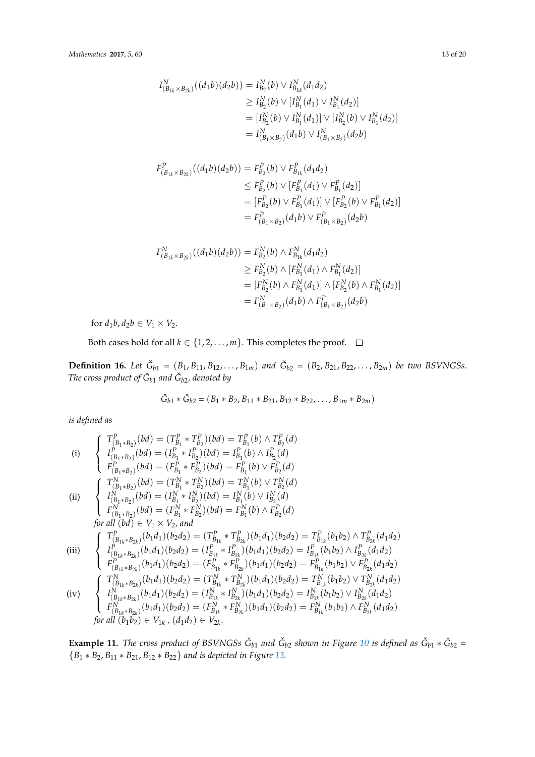$$
I_{(B_{1k} \times B_{2k})}^{N}((d_{1}b)(d_{2}b)) = I_{B_{2}}^{N}(b) \vee I_{B_{1k}}^{N}(d_{1}d_{2})
$$
  
\n
$$
\geq I_{B_{2}}^{N}(b) \vee [I_{B_{1}}^{N}(d_{1}) \vee I_{B_{1}}^{N}(d_{2})]
$$
  
\n
$$
= [I_{B_{2}}^{N}(b) \vee I_{B_{1}}^{N}(d_{1})] \vee [I_{B_{2}}^{N}(b) \vee I_{B_{1}}^{N}(d_{2})]
$$
  
\n
$$
= I_{(B_{1} \times B_{2})}^{N}(d_{1}b) \vee I_{(B_{1} \times B_{2})}^{N}(d_{2}b)
$$

$$
F_{(B_{1k} \times B_{2k})}^{P}((d_1b)(d_2b)) = F_{B_2}^{P}(b) \vee F_{B_{1k}}^{P}(d_1d_2)
$$
  
\n
$$
\leq F_{B_2}^{P}(b) \vee [F_{B_1}^{P}(d_1) \vee F_{B_1}^{P}(d_2)]
$$
  
\n
$$
= [F_{B_2}^{P}(b) \vee F_{B_1}^{P}(d_1)] \vee [F_{B_2}^{P}(b) \vee F_{B_1}^{P}(d_2)]
$$
  
\n
$$
= F_{(B_1 \times B_2)}^{P}(d_1b) \vee F_{(B_1 \times B_2)}^{P}(d_2b)
$$

$$
F_{(B_{1k} \times B_{2k})}^{N}((d_1b)(d_2b)) = F_{B_2}^{N}(b) \wedge F_{B_{1k}}^{N}(d_1d_2)
$$
  
\n
$$
\geq F_{B_2}^{N}(b) \wedge [F_{B_1}^{N}(d_1) \wedge F_{B_1}^{N}(d_2)]
$$
  
\n
$$
= [F_{B_2}^{N}(b) \wedge F_{B_1}^{N}(d_1)] \wedge [F_{B_2}^{N}(b) \wedge F_{B_1}^{N}(d_2)]
$$
  
\n
$$
= F_{(B_1 \times B_2)}^{N}(d_1b) \wedge F_{(B_1 \times B_2)}^{P}(d_2b)
$$

for  $d_1b$ ,  $d_2b \in V_1 \times V_2$ .

Both cases hold for all  $k \in \{1, 2, ..., m\}$ . This completes the proof.  $\Box$ 

**Definition 16.** Let  $\check{G}_{b1} = (B_1, B_{11}, B_{12}, \ldots, B_{1m})$  and  $\check{G}_{b2} = (B_2, B_{21}, B_{22}, \ldots, B_{2m})$  be two BSVNGSs. The cross product of  $\check G_{b1}$  and  $\check G_{b2}$ , denoted by

$$
\check{G}_{b1} * \check{G}_{b2} = (B_1 * B_2, B_{11} * B_{21}, B_{12} * B_{22}, \dots, B_{1m} * B_{2m})
$$

*is defined as*

(i) 
$$
\begin{cases}\nT_{(B_1*B_2)}^P(bd) = (T_{B_1}^P * T_{B_2}^P)(bd) = T_{B_1}^P(b) \land T_{B_2}^P(d) \\
I_{(B_1*B_2)}^P(bd) = (I_{B_1}^P * I_{B_2}^P)(bd) = I_{B_1}^P(b) \lor I_{B_2}^P(d) \\
F_{(B_1*B_2)}^P(bd) = (F_{B_1}^P * F_{B_2}^P)(bd) = F_{B_1}^P(b) \lor F_{B_2}^P(d) \\
\text{(ii)} \begin{cases}\nT_{(B_1*B_2)}^N(bd) = (T_{B_1}^N * T_{B_2}^N)(bd) = T_{B_1}^N(b) \lor T_{B_2}^N(d) \\
I_{(B_1*B_2)}^N(bd) = (I_{B_1}^N * I_{B_2}^N)(bd) = I_{B_1}^N(b) \lor I_{B_2}^N(d) \\
F_{(B_1*B_2)}^N(bd) = (F_{B_1}^N * F_{B_2}^N)(bd) = F_{B_1}^N(b) \land F_{B_2}^P(d) \\
\text{for all } (bd) \in V_1 \times V_2, \text{ and} \\
\begin{cases}\nT_{(B_{1k}*B_{2k})}^P(b_1d_1)(b_2d_2) = (T_{B_{1k}}^P * T_{B_{2k}}^P)(b_1d_1)(b_2d_2) = T_{B_{1k}}^P(b_1b_2) \land T_{B_{2k}}^P(d_1d_2) \\
I_{(B_{1k}*B_{2k})}^P(b_1d_1)(b_2d_2) = (I_{B_{1k}}^P * I_{B_{2k}}^P)(b_1d_1)(b_2d_2) = I_{B_{1k}}^P(b_1b_2) \land I_{B_{2k}}^P(d_1d_2) \\
F_{(B_{1k}*B_{2k})}^P(b_1d_1)(b_2d_2) = (F_{B_{1k}}^P * F_{B_{2k}}^P)(b_1d_1)(b_2d_2) = F_{B_{1k}}^P(b_1b_2) \lor F_{B_{2k}}^P(d_1d_2) \\
\vdots \\
\begin{cases}\nT_{(B_{1k}*B_{2k})}^N(b_1d_1)(b_2d
$$

**Example 11.** The cross product of BSVNGSs  $\check{G}_{b1}$  and  $\check{G}_{b2}$  shown in Figure [10](#page-9-0) is defined as  $\check{G}_{b1} * \check{G}_{b2} =$ {*B*<sup>1</sup> ∗ *B*2, *B*<sup>11</sup> ∗ *B*21, *B*<sup>12</sup> ∗ *B*22} *and is depicted in Figure [13.](#page-13-0)*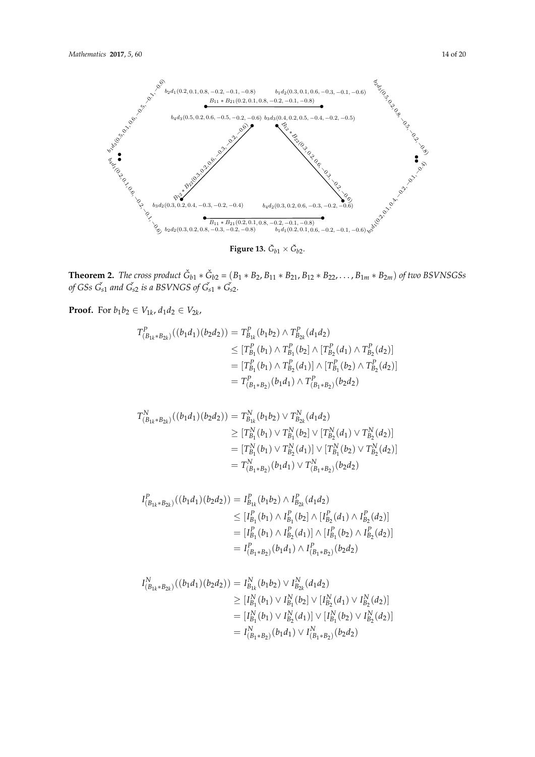<span id="page-13-0"></span>

of GSs  $\tilde{G}_{s1}$  and  $\tilde{G}_{s2}$  is a BSVNGS of  $\tilde{G}_{s1} * \tilde{G}_{s2}$ .  $\frac{1}{\sqrt{2}}$  is a  $\frac{1}{\sqrt{2}}$  is a BSV is a BSV  $\frac{1}{\sqrt{2}}$  g<sub>31</sub>  $\frac{1}{\sqrt{2}}$ **Theorem 2.** The cross product  $\check{G}_{b1} * \check{G}_{b2} = (B_1 * B_2, B_{11} * B_{21}, B_{12} * B_{22}, \ldots, B_{1m} * B_{2m})$  of two BSVNSGSs *of* GSs  $\check{G}_{s1}$  and  $\check{G}_{s2}$  is a BSVNGS of  $\check{G}_{s1} * \check{G}_{s2}$ .

**Proof.** For *b*<sub>1</sub>*b*<sub>2</sub> ∈ *V*<sub>1*k*</sub>, *d*<sub>1</sub>*d*<sub>2</sub> ∈ *V*<sub>2*k*</sub>,

$$
T_{(B_{1k}*B_{2k})}^{P}((b_{1}d_{1})(b_{2}d_{2})) = T_{B_{1k}}^{P}(b_{1}b_{2}) \wedge T_{B_{2k}}^{P}(d_{1}d_{2})
$$
  
\n
$$
\leq [T_{B_{1}}^{P}(b_{1}) \wedge T_{B_{1}}^{P}(b_{2}) \wedge [T_{B_{2}}^{P}(d_{1}) \wedge T_{B_{2}}^{P}(d_{2})]
$$
  
\n
$$
= [T_{B_{1}}^{P}(b_{1}) \wedge T_{B_{2}}^{P}(d_{1})] \wedge [T_{B_{1}}^{P}(b_{2}) \wedge T_{B_{2}}^{P}(d_{2})]
$$
  
\n
$$
= T_{(B_{1}*B_{2})}^{P}(b_{1}d_{1}) \wedge T_{(B_{1}*B_{2})}^{P}(b_{2}d_{2})
$$

$$
T_{(B_{1k}*B_{2k})}^N((b_1d_1)(b_2d_2)) = T_{B_{1k}}^N(b_1b_2) \vee T_{B_{2k}}^N(d_1d_2)
$$
  
\n
$$
\geq [T_{B_1}^N(b_1) \vee T_{B_1}^N(b_2] \vee [T_{B_2}^N(d_1) \vee T_{B_2}^N(d_2)]
$$
  
\n
$$
= [T_{B_1}^N(b_1) \vee T_{B_2}^N(d_1)] \vee [T_{B_1}^N(b_2) \vee T_{B_2}^N(d_2)]
$$
  
\n
$$
= T_{(B_1*B_2)}^N(b_1d_1) \vee T_{(B_1*B_2)}^N(b_2d_2)
$$

$$
I_{(B_{1k}*B_{2k})}^{P}((b_{1}d_{1})(b_{2}d_{2})) = I_{B_{1k}}^{P}(b_{1}b_{2}) \wedge I_{B_{2k}}^{P}(d_{1}d_{2})
$$
  
\n
$$
\leq [I_{B_{1}}^{P}(b_{1}) \wedge I_{B_{1}}^{P}(b_{2}) \wedge [I_{B_{2}}^{P}(d_{1}) \wedge I_{B_{2}}^{P}(d_{2})]
$$
  
\n
$$
= [I_{B_{1}}^{P}(b_{1}) \wedge I_{B_{2}}^{P}(d_{1})] \wedge [I_{B_{1}}^{P}(b_{2}) \wedge I_{B_{2}}^{P}(d_{2})]
$$
  
\n
$$
= I_{(B_{1}*B_{2})}^{P}(b_{1}d_{1}) \wedge I_{(B_{1}*B_{2})}^{P}(b_{2}d_{2})
$$

$$
I_{(B_{1k}*B_{2k})}^N((b_1d_1)(b_2d_2)) = I_{B_{1k}}^N(b_1b_2) \vee I_{B_{2k}}^N(d_1d_2)
$$
  
\n
$$
\geq [I_{B_1}^N(b_1) \vee I_{B_1}^N(b_2] \vee [I_{B_2}^N(d_1) \vee I_{B_2}^N(d_2)]
$$
  
\n
$$
= [I_{B_1}^N(b_1) \vee I_{B_2}^N(d_1)] \vee [I_{B_1}^N(b_2) \vee I_{B_2}^N(d_2)]
$$
  
\n
$$
= I_{(B_1*B_2)}^N(b_1d_1) \vee I_{(B_1*B_2)}^N(b_2d_2)
$$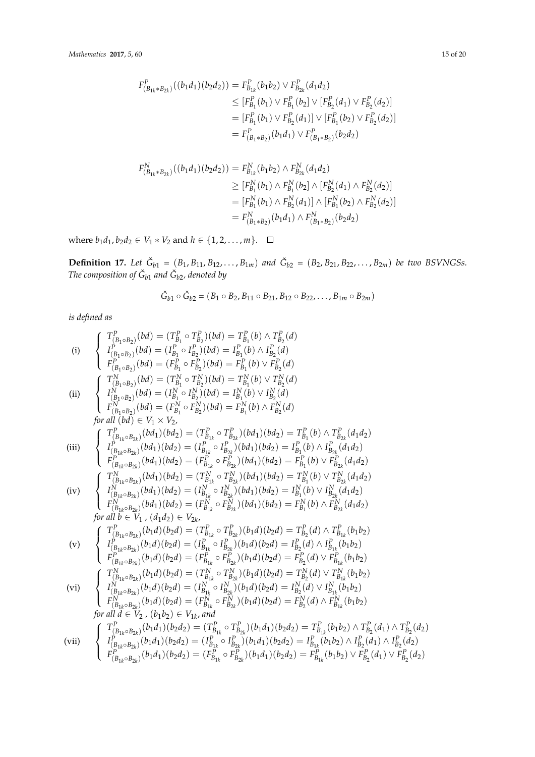$$
F_{(B_{1k}*B_{2k})}^{P}((b_{1}d_{1})(b_{2}d_{2})) = F_{B_{1k}}^{P}(b_{1}b_{2}) \vee F_{B_{2k}}^{P}(d_{1}d_{2})
$$
  
\n
$$
\leq [F_{B_{1}}^{P}(b_{1}) \vee F_{B_{1}}^{P}(b_{2}] \vee [F_{B_{2}}^{P}(d_{1}) \vee F_{B_{2}}^{P}(d_{2})]
$$
  
\n
$$
= [F_{B_{1}}^{P}(b_{1}) \vee F_{B_{2}}^{P}(d_{1})] \vee [F_{B_{1}}^{P}(b_{2}) \vee F_{B_{2}}^{P}(d_{2})]
$$
  
\n
$$
= F_{(B_{1}*B_{2})}^{P}(b_{1}d_{1}) \vee F_{(B_{1}*B_{2})}^{P}(b_{2}d_{2})
$$

$$
F_{(B_{1k}*B_{2k})}^{N}((b_{1}d_{1})(b_{2}d_{2})) = F_{B_{1k}}^{N}(b_{1}b_{2}) \wedge F_{B_{2k}}^{N}(d_{1}d_{2})
$$
  
\n
$$
\geq [F_{B_{1}}^{N}(b_{1}) \wedge F_{B_{1}}^{N}(b_{2}) \wedge [F_{B_{2}}^{N}(d_{1}) \wedge F_{B_{2}}^{N}(d_{2})]
$$
  
\n
$$
= [F_{B_{1}}^{N}(b_{1}) \wedge F_{B_{2}}^{N}(d_{1})] \wedge [F_{B_{1}}^{N}(b_{2}) \wedge F_{B_{2}}^{N}(d_{2})]
$$
  
\n
$$
= F_{(B_{1}*B_{2})}^{N}(b_{1}d_{1}) \wedge F_{(B_{1}*B_{2})}^{N}(b_{2}d_{2})
$$

where *b*<sub>1</sub>*d*<sub>1</sub>, *b*<sub>2</sub>*d*<sub>2</sub> ∈ *V*<sub>1</sub> ∗ *V*<sub>2</sub> and *h* ∈ {1, 2, . . . . , *m*}.  $\Box$ 

**Definition 17.** Let  $\check{G}_{b1} = (B_1, B_{11}, B_{12}, \ldots, B_{1m})$  and  $\check{G}_{b2} = (B_2, B_{21}, B_{22}, \ldots, B_{2m})$  be two BSVNGSs. The composition of  $\check G_{b1}$  and  $\check G_{b2}$ , denoted by

$$
\check{G}_{b1} \circ \check{G}_{b2} = (B_1 \circ B_2, B_{11} \circ B_{21}, B_{12} \circ B_{22}, \dots, B_{1m} \circ B_{2m})
$$

*is defined as*

(i) 
$$
\begin{cases}\nT_{(B_1 \circ B_2)}^P(bd) = (T_{B_1}^P \circ T_{B_2}^P)(bd) = T_{B_1}^P(b) \land T_{B_2}^P(d) \\
I_{(B_1 \circ B_2)}^P(bd) = (I_{B_1}^P \circ I_{B_2}^P)(bd) = I_{B_1}^P(b) \lor I_{B_2}^P(d) \\
F_{(B_1 \circ B_2)}^P(bd) = (T_{B_1}^P \circ F_{B_2}^P)(bd) = F_{B_1}^P(b) \lor F_{B_2}^P(d) \\
T_{(B_1 \circ B_2)}^P(bd) = (T_{B_1}^P \circ T_{B_2}^N)(bd) = T_{B_1}^N(b) \lor T_{B_2}^N(d) \\
I_{(B_1 \circ B_2)}^P(bd) = (I_{B_1}^N \circ I_{B_2}^N)(bd) = I_{B_1}^N(b) \land F_{B_2}^N(d) \\
F_{(B_1 \circ B_2)}^P(bd) = (F_{B_1}^P \circ F_{B_2}^N)(bd) = F_{B_1}^P(b) \land F_{B_2}^P(d) \\
for all (bd) \in V_1 \times V_2,\n\end{cases}
$$
\n
$$
\text{(iii)} \begin{cases}\nT_{(B_1 \circ B_2)}^P(bd) = (T_{B_1}^P \circ T_{B_2}^P)(bd_1)(bd_2) = T_{B_1}^P(b) \land T_{B_2}^P(d_1d_2) \\
T_{(B_1 \circ B_2)}^P(bd_1)(bd_2) = (T_{B_{1k}}^P \circ T_{B_{2k}}^P)(bd_1)(bd_2) = I_{B_1}^P(b) \land I_{B_{2k}}^P(d_1d_2) \\
T_{(B_{1k} \circ B_2)}^P(bd_1)(bd_2) = (T_{B_{1k}}^P \circ T_{B_{2k}}^P)(bd_1)(bd_2) = T_{B_1}^P(b) \lor T_{B_{2k}}^P(d_1d_2) \\
F_{(B_{1k} \circ B_2)}^P(bd_1)(bd_2) = (T_{B_{1k}}^N \circ T_{B_{2k}}^N)(bd_1)(bd_2) = T_{B_1}^P(b) \lor T_{B_{2k}}^P(d_1d
$$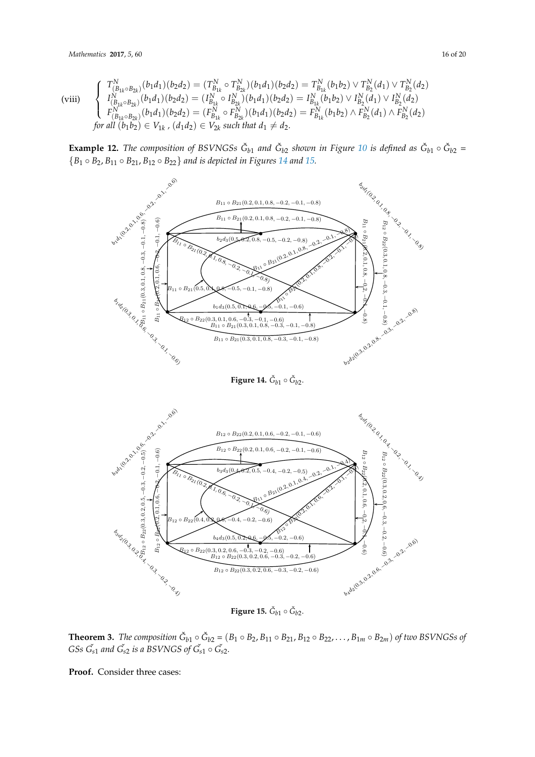#### Mathematics **2017**, *5*, 60 16 20  $\overline{0}$

(viii) (viii)

$$
\begin{cases}\nT_{(B_{1k} \circ B_{2k})}^{N}(b_1 d_1)(b_2 d_2) = (T_{B_{1k}}^{N} \circ T_{B_{2k}}^{N})(b_1 d_1)(b_2 d_2) = T_{B_{1k}}^{N}(b_1 b_2) \vee T_{B_2}^{N}(d_1) \vee T_{B_2}^{N}(d_2) \\
I_{(B_{1k} \circ B_{2k})}^{N}(b_1 d_1)(b_2 d_2) = (I_{B_{1k}}^{N} \circ I_{B_{2k}}^{N})(b_1 d_1)(b_2 d_2) = I_{B_{1k}}^{N}(b_1 b_2) \vee I_{B_2}^{N}(d_1) \vee I_{B_2}^{N}(d_2) \\
F_{(B_{1k} \circ B_{2k})}^{N}(b_1 d_1)(b_2 d_2) = (F_{B_{1k}}^{N} \circ F_{B_{2k}}^{N})(b_1 d_1)(b_2 d_2) = F_{B_{1k}}^{N}(b_1 b_2) \wedge F_{B_2}^{N}(d_1) \wedge F_{B_2}^{N}(d_2) \\
for all (b_1 b_2) \in V_{1k}, (d_1 d_2) \in V_{2k} \text{ such that } d_1 \neq d_2.\n\end{cases}
$$

**Example 12.** The composition of BSVNGSs  $\check{G}_{b1}$  and  $\check{G}_{b2}$  shown in Figure [10](#page-9-0) is defined as  $\check{G}_{b1} \circ \check{G}_{b2} =$  ${B_1 \circ B_2, B_{11} \circ B_{21}, B_{12} \circ B_{22}}$  *and is depicted in Figures* [14](#page-15-0) *and* [15.](#page-15-1)

<span id="page-15-0"></span>

 $\frac{1}{2}$  $\overline{a}$ **Figure 14.**  $\check{G}_{b1} \circ \check{G}_{b2}$ .

<span id="page-15-1"></span>

 $\frac{1}{2}$ **Figure 15.**  $\check{G}_{b1} \circ \check{G}_{b2}$ .

Theorem 3. The composition  $G_{b1} \circ G_{b2} = (B_1 \circ B_2, B_{11} \circ B_2), B_{12} \circ B_{22}, \dots, B_{1m} \circ B_{2m}$  of two BSVNGSs of G<sub>SS</sub> G<sub>s1</sub> and G<sub>s2</sub> is a BSVNGS of G<sub>s1</sub>  $\circ$  G<sub>s2</sub>. **Theorem 3.** The composition  $\check{G}_{b1} \circ \check{G}_{b2} = (B_1 \circ B_2, B_{11} \circ B_{21}, B_{12} \circ B_{22}, \ldots, B_{1m} \circ B_{2m})$  of two BSVNGSs of *GSs*  $\check{G}_{s1}$  *and*  $\check{G}_{s2}$  *is a BSVNGS of*  $\check{G}_{s1} \circ \check{G}_{s2}$ *.* 

Proof. Consider three cases: **Proof.** Consider three cases: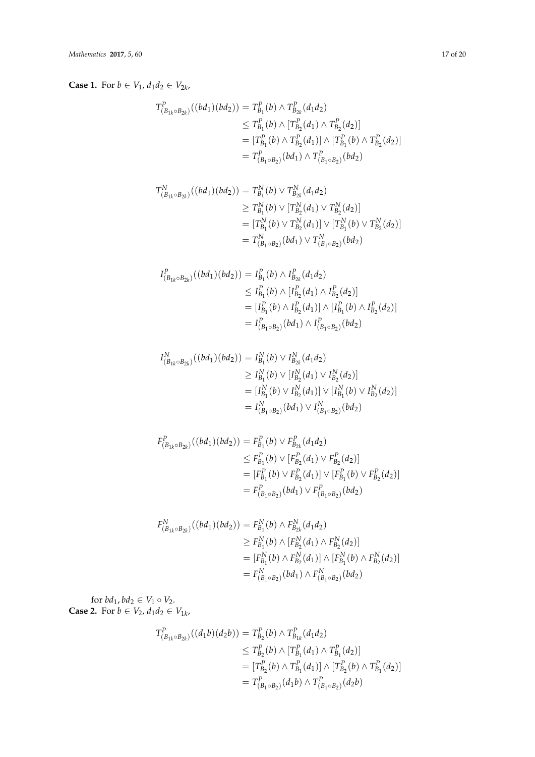**Case 1.** For  $b \in V_1$ ,  $d_1 d_2 \in V_{2k}$ ,

$$
T_{(B_{1k} \circ B_{2k})}^{P}((bd_1)(bd_2)) = T_{B_1}^{P}(b) \land T_{B_{2k}}^{P}(d_1d_2)
$$
  
\n
$$
\leq T_{B_1}^{P}(b) \land [T_{B_2}^{P}(d_1) \land T_{B_2}^{P}(d_2)]
$$
  
\n
$$
= [T_{B_1}^{P}(b) \land T_{B_2}^{P}(d_1)] \land [T_{B_1}^{P}(b) \land T_{B_2}^{P}(d_2)]
$$
  
\n
$$
= T_{(B_1 \circ B_2)}^{P}(bd_1) \land T_{(B_1 \circ B_2)}^{P}(bd_2)
$$

$$
T_{(B_{1k} \circ B_{2k})}^{N}((bd_1)(bd_2)) = T_{B_1}^{N}(b) \vee T_{B_{2k}}^{N}(d_1d_2)
$$
  
\n
$$
\geq T_{B_1}^{N}(b) \vee [T_{B_2}^{N}(d_1) \vee T_{B_2}^{N}(d_2)]
$$
  
\n
$$
= [T_{B_1}^{N}(b) \vee T_{B_2}^{N}(d_1)] \vee [T_{B_1}^{N}(b) \vee T_{B_2}^{N}(d_2)]
$$
  
\n
$$
= T_{(B_1 \circ B_2)}^{N}(bd_1) \vee T_{(B_1 \circ B_2)}^{N}(bd_2)
$$

$$
I_{(B_{1k} \circ B_{2k})}^{P}((bd_1)(bd_2)) = I_{B_1}^{P}(b) \wedge I_{B_{2k}}^{P}(d_1d_2)
$$
  
\n
$$
\leq I_{B_1}^{P}(b) \wedge [I_{B_2}^{P}(d_1) \wedge I_{B_2}^{P}(d_2)]
$$
  
\n
$$
= [I_{B_1}^{P}(b) \wedge I_{B_2}^{P}(d_1)] \wedge [I_{B_1}^{P}(b) \wedge I_{B_2}^{P}(d_2)]
$$
  
\n
$$
= I_{(B_1 \circ B_2)}^{P}(bd_1) \wedge I_{(B_1 \circ B_2)}^{P}(bd_2)
$$

$$
I_{(B_{1k} \circ B_{2k})}^{N}((bd_1)(bd_2)) = I_{B_1}^{N}(b) \vee I_{B_{2k}}^{N}(d_1d_2)
$$
  
\n
$$
\geq I_{B_1}^{N}(b) \vee [I_{B_2}^{N}(d_1) \vee I_{B_2}^{N}(d_2)]
$$
  
\n
$$
= [I_{B_1}^{N}(b) \vee I_{B_2}^{N}(d_1)] \vee [I_{B_1}^{N}(b) \vee I_{B_2}^{N}(d_2)]
$$
  
\n
$$
= I_{(B_1 \circ B_2)}^{N}(bd_1) \vee I_{(B_1 \circ B_2)}^{N}(bd_2)
$$

$$
F_{(B_{1k} \circ B_{2k})}^{P}((bd_1)(bd_2)) = F_{B_1}^{P}(b) \vee F_{B_{2k}}^{P}(d_1d_2)
$$
  
\n
$$
\leq F_{B_1}^{P}(b) \vee [F_{B_2}^{P}(d_1) \vee F_{B_2}^{P}(d_2)]
$$
  
\n
$$
= [F_{B_1}^{P}(b) \vee F_{B_2}^{P}(d_1)] \vee [F_{B_1}^{P}(b) \vee F_{B_2}^{P}(d_2)]
$$
  
\n
$$
= F_{(B_1 \circ B_2)}^{P}(bd_1) \vee F_{(B_1 \circ B_2)}^{P}(bd_2)
$$

$$
F_{(B_{1k} \circ B_{2k})}^{N}((bd_1)(bd_2)) = F_{B_1}^{N}(b) \wedge F_{B_{2k}}^{N}(d_1d_2)
$$
  
\n
$$
\geq F_{B_1}^{N}(b) \wedge [F_{B_2}^{N}(d_1) \wedge F_{B_2}^{N}(d_2)]
$$
  
\n
$$
= [F_{B_1}^{N}(b) \wedge F_{B_2}^{N}(d_1)] \wedge [F_{B_1}^{N}(b) \wedge F_{B_2}^{N}(d_2)]
$$
  
\n
$$
= F_{(B_1 \circ B_2)}^{N}(bd_1) \wedge F_{(B_1 \circ B_2)}^{N}(bd_2)
$$

for  $bd_1, bd_2 \in V_1 \circ V_2$ . **Case 2.** For  $b \in V_2$ ,  $d_1 d_2 \in V_{1k}$ ,

$$
T_{(B_{1k} \circ B_{2k})}^{P}((d_1b)(d_2b)) = T_{B_2}^{P}(b) \land T_{B_{1k}}^{P}(d_1d_2)
$$
  
\n
$$
\leq T_{B_2}^{P}(b) \land [T_{B_1}^{P}(d_1) \land T_{B_1}^{P}(d_2)]
$$
  
\n
$$
= [T_{B_2}^{P}(b) \land T_{B_1}^{P}(d_1)] \land [T_{B_2}^{P}(b) \land T_{B_1}^{P}(d_2)]
$$
  
\n
$$
= T_{(B_1 \circ B_2)}^{P}(d_1b) \land T_{(B_1 \circ B_2)}^{P}(d_2b)
$$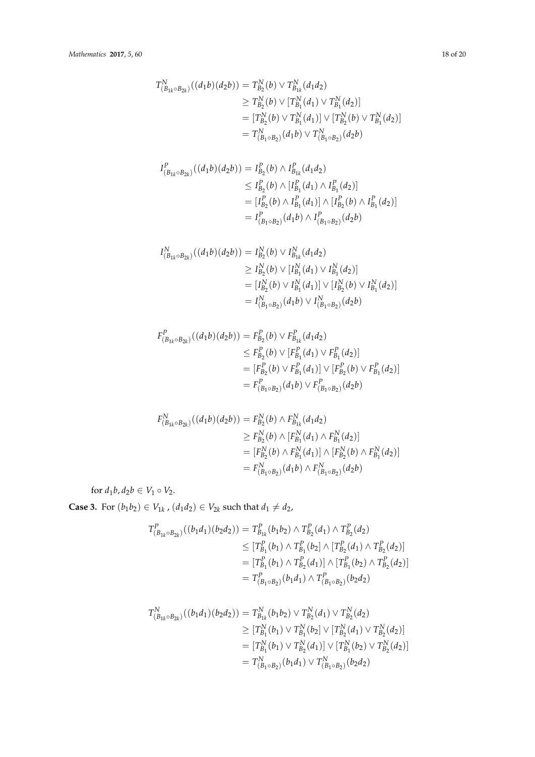$$
T_{(B_{1k} \circ B_{2k})}^{N}((d_{1}b)(d_{2}b)) = T_{B_{2}}^{N}(b) \vee T_{B_{1k}}^{N}(d_{1}d_{2})
$$
  
\n
$$
\geq T_{B_{2}}^{N}(b) \vee [T_{B_{1}}^{N}(d_{1}) \vee T_{B_{1}}^{N}(d_{2})]
$$
  
\n
$$
= [T_{B_{2}}^{N}(b) \vee T_{B_{1}}^{N}(d_{1})] \vee [T_{B_{2}}^{N}(b) \vee T_{B_{1}}^{N}(d_{2})]
$$
  
\n
$$
= T_{(B_{1} \circ B_{2})}^{N}(d_{1}b) \vee T_{(B_{1} \circ B_{2})}^{N}(d_{2}b)
$$

$$
I_{(B_{1k} \circ B_{2k})}^{P}((d_1b)(d_2b)) = I_{B_2}^{P}(b) \wedge I_{B_{1k}}^{P}(d_1d_2)
$$
  
\n
$$
\leq I_{B_2}^{P}(b) \wedge [I_{B_1}^{P}(d_1) \wedge I_{B_1}^{P}(d_2)]
$$
  
\n
$$
= [I_{B_2}^{P}(b) \wedge I_{B_1}^{P}(d_1)] \wedge [I_{B_2}^{P}(b) \wedge I_{B_1}^{P}(d_2)]
$$
  
\n
$$
= I_{(B_1 \circ B_2)}^{P}(d_1b) \wedge I_{(B_1 \circ B_2)}^{P}(d_2b)
$$

$$
I_{(B_{1k} \circ B_{2k})}^N((d_1b)(d_2b)) = I_{B_2}^N(b) \vee I_{B_{1k}}^N(d_1d_2)
$$
  
\n
$$
\geq I_{B_2}^N(b) \vee [I_{B_1}^N(d_1) \vee I_{B_1}^N(d_2)]
$$
  
\n
$$
= [I_{B_2}^N(b) \vee I_{B_1}^N(d_1)] \vee [I_{B_2}^N(b) \vee I_{B_1}^N(d_2)]
$$
  
\n
$$
= I_{(B_1 \circ B_2)}^N(d_1b) \vee I_{(B_1 \circ B_2)}^N(d_2b)
$$

$$
F_{(B_{1k} \circ B_{2k})}^{P}((d_1b)(d_2b)) = F_{B_2}^{P}(b) \vee F_{B_{1k}}^{P}(d_1d_2)
$$
  
\n
$$
\leq F_{B_2}^{P}(b) \vee [F_{B_1}^{P}(d_1) \vee F_{B_1}^{P}(d_2)]
$$
  
\n
$$
= [F_{B_2}^{P}(b) \vee F_{B_1}^{P}(d_1)] \vee [F_{B_2}^{P}(b) \vee F_{B_1}^{P}(d_2)]
$$
  
\n
$$
= F_{(B_1 \circ B_2)}^{P}(d_1b) \vee F_{(B_1 \circ B_2)}^{P}(d_2b)
$$

$$
F_{(B_{1k} \circ B_{2k})}^{N}((d_1b)(d_2b)) = F_{B_2}^{N}(b) \wedge F_{B_{1k}}^{N}(d_1d_2)
$$
  
\n
$$
\geq F_{B_2}^{N}(b) \wedge [F_{B_1}^{N}(d_1) \wedge F_{B_1}^{N}(d_2)]
$$
  
\n
$$
= [F_{B_2}^{N}(b) \wedge F_{B_1}^{N}(d_1)] \wedge [F_{B_2}^{N}(b) \wedge F_{B_1}^{N}(d_2)]
$$
  
\n
$$
= F_{(B_1 \circ B_2)}^{N}(d_1b) \wedge F_{(B_1 \circ B_2)}^{N}(d_2b)
$$

for  $d_1b$ ,  $d_2b \in V_1 \circ V_2$ .

**Case 3.** For  $(b_1b_2)$  ∈  $V_{1k}$ ,  $(d_1d_2)$  ∈  $V_{2k}$  such that  $d_1 ≠ d_2$ ,

$$
T_{(B_{1k} \circ B_{2k})}^{P}((b_{1}d_{1})(b_{2}d_{2})) = T_{B_{1k}}^{P}(b_{1}b_{2}) \wedge T_{B_{2}}^{P}(d_{1}) \wedge T_{B_{2}}^{P}(d_{2})
$$
  
\n
$$
\leq [T_{B_{1}}^{P}(b_{1}) \wedge T_{B_{1}}^{P}(b_{2}) \wedge [T_{B_{2}}^{P}(d_{1}) \wedge T_{B_{2}}^{P}(d_{2})]
$$
  
\n
$$
= [T_{B_{1}}^{P}(b_{1}) \wedge T_{B_{2}}^{P}(d_{1})] \wedge [T_{B_{1}}^{P}(b_{2}) \wedge T_{B_{2}}^{P}(d_{2})]
$$
  
\n
$$
= T_{(B_{1} \circ B_{2})}^{P}(b_{1}d_{1}) \wedge T_{(B_{1} \circ B_{2})}^{P}(b_{2}d_{2})
$$

$$
T_{(B_{1k} \circ B_{2k})}^{N}((b_{1}d_{1})(b_{2}d_{2})) = T_{B_{1k}}^{N}(b_{1}b_{2}) \vee T_{B_{2}}^{N}(d_{1}) \vee T_{B_{2}}^{N}(d_{2})
$$
  
\n
$$
\geq [T_{B_{1}}^{N}(b_{1}) \vee T_{B_{1}}^{N}(b_{2})] \vee [T_{B_{2}}^{N}(d_{1}) \vee T_{B_{2}}^{N}(d_{2})]
$$
  
\n
$$
= [T_{B_{1}}^{N}(b_{1}) \vee T_{B_{2}}^{N}(d_{1})] \vee [T_{B_{1}}^{N}(b_{2}) \vee T_{B_{2}}^{N}(d_{2})]
$$
  
\n
$$
= T_{(B_{1} \circ B_{2})}^{N}(b_{1}d_{1}) \vee T_{(B_{1} \circ B_{2})}^{N}(b_{2}d_{2})
$$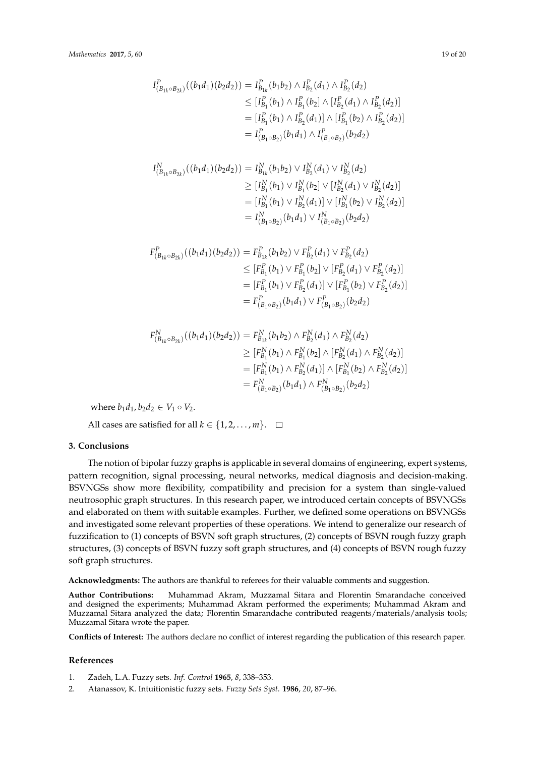$$
I_{(B_{1k} \circ B_{2k})}^{P}((b_{1}d_{1})(b_{2}d_{2})) = I_{B_{1k}}^{P}(b_{1}b_{2}) \wedge I_{B_{2}}^{P}(d_{1}) \wedge I_{B_{2}}^{P}(d_{2})
$$
  
\n
$$
\leq [I_{B_{1}}^{P}(b_{1}) \wedge I_{B_{1}}^{P}(b_{2})] \wedge [I_{B_{2}}^{P}(d_{1}) \wedge I_{B_{2}}^{P}(d_{2})]
$$
  
\n
$$
= [I_{B_{1}}^{P}(b_{1}) \wedge I_{B_{2}}^{P}(d_{1})] \wedge [I_{B_{1}}^{P}(b_{2}) \wedge I_{B_{2}}^{P}(d_{2})]
$$
  
\n
$$
= I_{(B_{1} \circ B_{2})}^{P}(b_{1}d_{1}) \wedge I_{(B_{1} \circ B_{2})}^{P}(b_{2}d_{2})
$$

$$
I_{(B_{1k} \circ B_{2k})}^{N}((b_{1}d_{1})(b_{2}d_{2})) = I_{B_{1k}}^{N}(b_{1}b_{2}) \vee I_{B_{2}}^{N}(d_{1}) \vee I_{B_{2}}^{N}(d_{2})
$$
  
\n
$$
\geq [I_{B_{1}}^{N}(b_{1}) \vee I_{B_{1}}^{N}(b_{2})] \vee [I_{B_{2}}^{N}(d_{1}) \vee I_{B_{2}}^{N}(d_{2})]
$$
  
\n
$$
= [I_{B_{1}}^{N}(b_{1}) \vee I_{B_{2}}^{N}(d_{1})] \vee [I_{B_{1}}^{N}(b_{2}) \vee I_{B_{2}}^{N}(d_{2})]
$$
  
\n
$$
= I_{(B_{1} \circ B_{2})}^{N}(b_{1}d_{1}) \vee I_{(B_{1} \circ B_{2})}^{N}(b_{2}d_{2})
$$

$$
F_{(B_{1k} \circ B_{2k})}^{P}((b_{1}d_{1})(b_{2}d_{2})) = F_{B_{1k}}^{P}(b_{1}b_{2}) \vee F_{B_{2}}^{P}(d_{1}) \vee F_{B_{2}}^{P}(d_{2})
$$
  
\n
$$
\leq [F_{B_{1}}^{P}(b_{1}) \vee F_{B_{1}}^{P}(b_{2}) \vee [F_{B_{2}}^{P}(d_{1}) \vee F_{B_{2}}^{P}(d_{2})]
$$
  
\n
$$
= [F_{B_{1}}^{P}(b_{1}) \vee F_{B_{2}}^{P}(d_{1})] \vee [F_{B_{1}}^{P}(b_{2}) \vee F_{B_{2}}^{P}(d_{2})]
$$
  
\n
$$
= F_{(B_{1} \circ B_{2})}^{P}(b_{1}d_{1}) \vee F_{(B_{1} \circ B_{2})}^{P}(b_{2}d_{2})
$$

$$
F_{(B_{1k} \circ B_{2k})}^{N}((b_{1}d_{1})(b_{2}d_{2})) = F_{B_{1k}}^{N}(b_{1}b_{2}) \wedge F_{B_{2}}^{N}(d_{1}) \wedge F_{B_{2}}^{N}(d_{2})
$$
  
\n
$$
\geq [F_{B_{1}}^{N}(b_{1}) \wedge F_{B_{1}}^{N}(b_{2}) \wedge [F_{B_{2}}^{N}(d_{1}) \wedge F_{B_{2}}^{N}(d_{2})]
$$
  
\n
$$
= [F_{B_{1}}^{N}(b_{1}) \wedge F_{B_{2}}^{N}(d_{1})] \wedge [F_{B_{1}}^{N}(b_{2}) \wedge F_{B_{2}}^{N}(d_{2})]
$$
  
\n
$$
= F_{(B_{1} \circ B_{2})}^{N}(b_{1}d_{1}) \wedge F_{(B_{1} \circ B_{2})}^{N}(b_{2}d_{2})
$$

where  $b_1d_1$ ,  $b_2d_2 \in V_1 \circ V_2$ .

All cases are satisfied for all  $k \in \{1, 2, ..., m\}$ .  $\Box$ 

#### **3. Conclusions**

The notion of bipolar fuzzy graphs is applicable in several domains of engineering, expert systems, pattern recognition, signal processing, neural networks, medical diagnosis and decision-making. BSVNGSs show more flexibility, compatibility and precision for a system than single-valued neutrosophic graph structures. In this research paper, we introduced certain concepts of BSVNGSs and elaborated on them with suitable examples. Further, we defined some operations on BSVNGSs and investigated some relevant properties of these operations. We intend to generalize our research of fuzzification to (1) concepts of BSVN soft graph structures, (2) concepts of BSVN rough fuzzy graph structures, (3) concepts of BSVN fuzzy soft graph structures, and (4) concepts of BSVN rough fuzzy soft graph structures.

**Acknowledgments:** The authors are thankful to referees for their valuable comments and suggestion.

**Author Contributions:** Muhammad Akram, Muzzamal Sitara and Florentin Smarandache conceived and designed the experiments; Muhammad Akram performed the experiments; Muhammad Akram and Muzzamal Sitara analyzed the data; Florentin Smarandache contributed reagents/materials/analysis tools; Muzzamal Sitara wrote the paper.

**Conflicts of Interest:** The authors declare no conflict of interest regarding the publication of this research paper.

#### **References**

- <span id="page-18-0"></span>1. Zadeh, L.A. Fuzzy sets. *Inf. Control* **1965**, *8*, 338–353.
- <span id="page-18-1"></span>2. Atanassov, K. Intuitionistic fuzzy sets. *Fuzzy Sets Syst.* **1986**, *20*, 87–96.